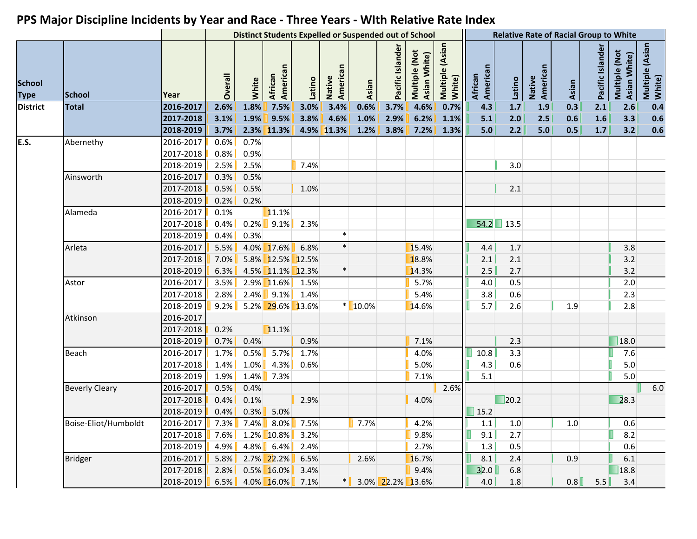|                              |                       |                    |         |         |                              |        |                    | <b>Distinct Students Expelled or Suspended out of School</b> |                  |                               |                           |                     |             |                    | <b>Relative Rate of Racial Group to White</b> |                  |                               |                           |
|------------------------------|-----------------------|--------------------|---------|---------|------------------------------|--------|--------------------|--------------------------------------------------------------|------------------|-------------------------------|---------------------------|---------------------|-------------|--------------------|-----------------------------------------------|------------------|-------------------------------|---------------------------|
| <b>School</b><br><b>Type</b> | <b>School</b>         | Year               | Overall | White   | American<br>African          | Latino | American<br>Native | Asian                                                        | Pacific Islander | Multiple (Not<br>Asian White) | Multiple (Asian<br>White) | American<br>African | Latino      | American<br>Native | Asian                                         | Pacific Islander | Multiple (Not<br>Asian White) | Multiple (Asian<br>White) |
| <b>District</b>              | <b>Total</b>          | 2016-2017          | 2.6%    | 1.8%    | 7.5%                         | 3.0%   | 3.4%               | 0.6%                                                         | 3.7%             | 4.6%                          | 0.7%                      | 4.3                 | 1.7         | 1.9                | 0.3                                           | 2.1              | 2.6                           | 0.4                       |
|                              |                       | 2017-2018          | 3.1%    | 1.9%    | 9.5%                         | 3.8%   | 4.6%               | 1.0%                                                         | 2.9%             | 6.2%                          | 1.1%                      | 5.1                 | 2.0         | 2.5                | 0.6                                           | 1.6              | 3.3                           | 0.6                       |
|                              |                       | 2018-2019          | 3.7%    |         | 2.3% 11.3%                   |        | 4.9% 11.3%         | 1.2%                                                         | 3.8%             | 7.2%                          | 1.3%                      | 5.0                 | 2.2         | 5.0                | 0.5                                           | 1.7              | 3.2                           | 0.6                       |
| E.S.                         | Abernethy             | 2016-2017          | 0.6%    | 0.7%    |                              |        |                    |                                                              |                  |                               |                           |                     |             |                    |                                               |                  |                               |                           |
|                              |                       | 2017-2018          | 0.8%    | 0.9%    |                              |        |                    |                                                              |                  |                               |                           |                     |             |                    |                                               |                  |                               |                           |
|                              |                       | 2018-2019          | 2.5%    | 2.5%    |                              | 7.4%   |                    |                                                              |                  |                               |                           |                     | 3.0         |                    |                                               |                  |                               |                           |
|                              | Ainsworth             | 2016-2017          | 0.3%    | 0.5%    |                              |        |                    |                                                              |                  |                               |                           |                     |             |                    |                                               |                  |                               |                           |
|                              |                       | 2017-2018          | 0.5%    | 0.5%    |                              | 1.0%   |                    |                                                              |                  |                               |                           |                     | 2.1         |                    |                                               |                  |                               |                           |
|                              |                       | 2018-2019          | 0.2%    | 0.2%    |                              |        |                    |                                                              |                  |                               |                           |                     |             |                    |                                               |                  |                               |                           |
|                              | Alameda               | 2016-2017          | 0.1%    |         | 11.1%                        |        |                    |                                                              |                  |                               |                           |                     |             |                    |                                               |                  |                               |                           |
|                              |                       | 2017-2018          | 0.4%    |         | $0.2\%$ 9.1%                 | 2.3%   |                    |                                                              |                  |                               |                           |                     | $54.2$ 13.5 |                    |                                               |                  |                               |                           |
|                              |                       | 2018-2019          | 0.4%    | 0.3%    |                              |        | $\ast$             |                                                              |                  |                               |                           |                     |             |                    |                                               |                  |                               |                           |
|                              | Arleta                | 2016-2017          | 5.5%    |         | $4.0\%$ 17.6%                | 6.8%   | $\ast$             |                                                              |                  | 15.4%                         |                           | 4.4                 | 1.7         |                    |                                               |                  | 3.8                           |                           |
|                              |                       | 2017-2018          | 7.0%    |         | 5.8% 12.5% 12.5%             |        |                    |                                                              |                  | 18.8%                         |                           | 2.1                 | 2.1         |                    |                                               |                  | 3.2                           |                           |
|                              |                       | 2018-2019          | 6.3%    |         | 4.5% 11.1% 12.3%             |        | $\ast$             |                                                              |                  | 14.3%                         |                           | 2.5                 | 2.7         |                    |                                               |                  | 3.2                           |                           |
|                              | Astor                 | 2016-2017          | 3.5%    | $2.9\%$ | 11.6%                        | 1.5%   |                    |                                                              |                  | 5.7%                          |                           | 4.0                 | 0.5         |                    |                                               |                  | $2.0\,$                       |                           |
|                              |                       | 2017-2018          | 2.8%    |         | $2.4\%$ 9.1%                 | 1.4%   |                    |                                                              |                  | 5.4%                          |                           | 3.8                 | 0.6         |                    |                                               |                  | 2.3                           |                           |
|                              |                       | 2018-2019          | $9.2\%$ |         | 5.2% 29.6% 13.6%             |        |                    | $*$ 10.0%                                                    |                  | 14.6%                         |                           | 5.7                 | 2.6         |                    | 1.9                                           |                  | 2.8                           |                           |
|                              | Atkinson              | 2016-2017          |         |         |                              |        |                    |                                                              |                  |                               |                           |                     |             |                    |                                               |                  |                               |                           |
|                              |                       | 2017-2018          | 0.2%    |         | 11.1%                        |        |                    |                                                              |                  |                               |                           |                     |             |                    |                                               |                  |                               |                           |
|                              |                       | 2018-2019          | 0.7%    | 0.4%    |                              | 0.9%   |                    |                                                              |                  | 7.1%                          |                           |                     | 2.3         |                    |                                               |                  | 18.0                          |                           |
|                              | Beach                 | 2016-2017          | 1.7%    | 0.5%    | $5.7\%$                      | 1.7%   |                    |                                                              |                  | 4.0%                          |                           | 10.8                | 3.3         |                    |                                               |                  | 7.6                           |                           |
|                              |                       | 2017-2018          | 1.4%    | 1.0%    | $4.3\%$                      | 0.6%   |                    |                                                              |                  | 5.0%                          |                           | 4.3                 | 0.6         |                    |                                               |                  | 5.0                           |                           |
|                              |                       | 2018-2019          | 1.9%    | 1.4%    | 7.3%                         |        |                    |                                                              |                  | 7.1%                          |                           | 5.1                 |             |                    |                                               |                  | $5.0$                         |                           |
|                              | <b>Beverly Cleary</b> | 2016-2017          | 0.5%    | 0.4%    |                              |        |                    |                                                              |                  |                               | 2.6%                      |                     |             |                    |                                               |                  |                               | $6.0$                     |
|                              |                       | 2017-2018          | 0.4%    | 0.1%    |                              | 2.9%   |                    |                                                              |                  | 4.0%                          |                           |                     | 20.2        |                    |                                               |                  | 28.3                          |                           |
|                              |                       | 2018-2019          | 0.4%    | $0.3\%$ | 5.0%                         |        |                    |                                                              |                  |                               |                           | 15.2                |             |                    |                                               |                  |                               |                           |
|                              | Boise-Eliot/Humboldt  | $\sqrt{2016-2017}$ |         |         | 7.3% 7.4% 8.0% 7.5%          |        |                    | $\sqrt{7.7\%}$                                               |                  | 4.2%                          |                           | 1.1                 | 1.0         |                    | 1.0                                           |                  | 0.6                           |                           |
|                              |                       | 2017-2018          | $7.6\%$ |         | $1.2\%$ 10.8% $\blacksquare$ | 3.2%   |                    |                                                              |                  | 9.8%                          |                           | 9.1                 | 2.7         |                    |                                               |                  | 8.2                           |                           |
|                              |                       | 2018-2019          | $4.9\%$ |         | $4.8\%$ 6.4%                 | 2.4%   |                    |                                                              |                  | 2.7%                          |                           | 1.3                 | 0.5         |                    |                                               |                  | 0.6                           |                           |
|                              | <b>Bridger</b>        | 2016-2017          | $5.8\%$ |         | $2.7\%$ 22.2%                | 6.5%   |                    | 2.6%                                                         |                  | 16.7%                         |                           | 8.1                 | 2.4         |                    | 0.9                                           |                  | 6.1                           |                           |
|                              |                       | 2017-2018          | $2.8\%$ |         | $0.5\%$ 16.0%                | 3.4%   |                    |                                                              |                  | 9.4%                          |                           | 32.0                | 6.8         |                    |                                               |                  | 18.8                          |                           |
|                              |                       | 2018-2019          |         |         | 6.5% 4.0% $16.0\%$ 7.1%      |        | $\ast$             |                                                              | 3.0% 22.2% 13.6% |                               |                           | 4.0                 | 1.8         |                    | 0.8                                           | 5.5              | 3.4                           |                           |
|                              |                       |                    |         |         |                              |        |                    |                                                              |                  |                               |                           |                     |             |                    |                                               |                  |                               |                           |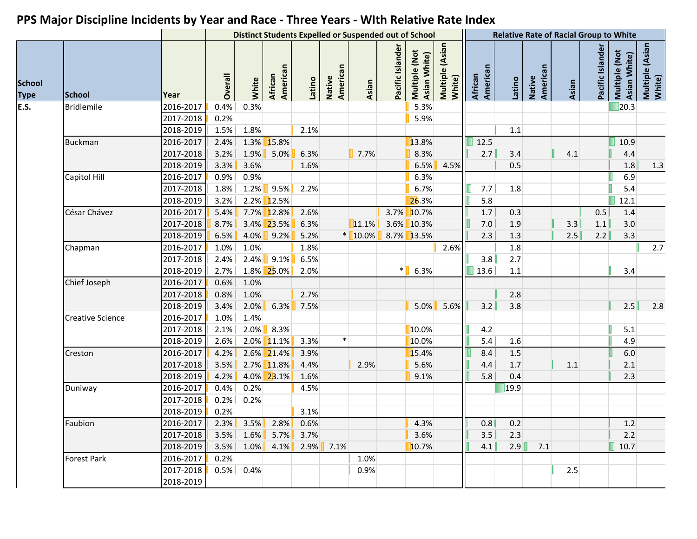|                              |                         |           |         |              |                             |        |                    | <b>Distinct Students Expelled or Suspended out of School</b> |                  |                               |                           |                     |               |                    | <b>Relative Rate of Racial Group to White</b> |                  |                               |                           |
|------------------------------|-------------------------|-----------|---------|--------------|-----------------------------|--------|--------------------|--------------------------------------------------------------|------------------|-------------------------------|---------------------------|---------------------|---------------|--------------------|-----------------------------------------------|------------------|-------------------------------|---------------------------|
| <b>School</b><br><b>Type</b> | <b>School</b>           | Year      | Overall | White        | American<br>African         | Latino | Native<br>American | Asian                                                        | Pacific Islander | Multiple (Not<br>Asian White) | Multiple (Asian<br>White) | American<br>African | Latino        | American<br>Native | Asian                                         | Pacific Islander | Multiple (Not<br>Asian White) | Multiple (Asian<br>White) |
| <b>E.S.</b>                  | <b>Bridlemile</b>       | 2016-2017 | 0.4%    | 0.3%         |                             |        |                    |                                                              |                  | 5.3%                          |                           |                     |               |                    |                                               |                  | $\Box$ 20.3                   |                           |
|                              |                         | 2017-2018 | 0.2%    |              |                             |        |                    |                                                              |                  | 5.9%                          |                           |                     |               |                    |                                               |                  |                               |                           |
|                              |                         | 2018-2019 | 1.5%    | 1.8%         |                             | 2.1%   |                    |                                                              |                  |                               |                           |                     | 1.1           |                    |                                               |                  |                               |                           |
|                              | <b>Buckman</b>          | 2016-2017 | 2.4%    |              | 1.3% 15.8%                  |        |                    |                                                              |                  | 13.8%                         |                           | $\blacksquare$ 12.5 |               |                    |                                               |                  | 10.9                          |                           |
|                              |                         | 2017-2018 | 3.2%    | $1.9\%$      | 5.0%                        | 6.3%   |                    | 7.7%                                                         |                  | 8.3%                          |                           | 2.7                 | 3.4           |                    | 4.1                                           |                  | 4.4                           |                           |
|                              |                         | 2018-2019 | 3.3%    | 3.6%         |                             | 1.6%   |                    |                                                              |                  | 6.5%                          | 4.5%                      |                     | 0.5           |                    |                                               |                  | $1.8\,$                       | 1.3                       |
|                              | Capitol Hill            | 2016-2017 | 0.9%    | 0.9%         |                             |        |                    |                                                              |                  | 6.3%                          |                           |                     |               |                    |                                               |                  | 6.9                           |                           |
|                              |                         | 2017-2018 | 1.8%    | $1.2\%$      | $9.5\%$                     | 2.2%   |                    |                                                              |                  | 6.7%                          |                           | 7.7                 | 1.8           |                    |                                               |                  | 5.4                           |                           |
|                              |                         | 2018-2019 | 3.2%    |              | 2.2% 12.5%                  |        |                    |                                                              |                  | 26.3%                         |                           | 5.8                 |               |                    |                                               |                  | 12.1                          |                           |
|                              | César Chávez            | 2016-2017 | 5.4%    |              | $7.7\%$ 12.8%               | 2.6%   |                    |                                                              |                  | 3.7% 10.7%                    |                           | 1.7                 | 0.3           |                    |                                               | 0.5              | 1.4                           |                           |
|                              |                         | 2017-2018 | 8.7%    |              | 3.4% 23.5%                  | 6.3%   |                    | 11.1%                                                        |                  | 3.6% 10.3%                    |                           | 7.0                 | 1.9           |                    | 3.3                                           | 1.1              | 3.0                           |                           |
|                              |                         | 2018-2019 | 6.5%    | 4.0%         | $9.2\%$                     | 5.2%   |                    | $*$ 10.0%                                                    |                  | 8.7% 13.5%                    |                           | 2.3                 | 1.3           |                    | 2.5                                           | 2.2              | 3.3                           |                           |
|                              | Chapman                 | 2016-2017 | 1.0%    | 1.0%         |                             | 1.8%   |                    |                                                              |                  |                               | 2.6%                      |                     | 1.8           |                    |                                               |                  |                               | 2.7                       |
|                              |                         | 2017-2018 | 2.4%    | 2.4%         | 9.1%                        | 6.5%   |                    |                                                              |                  |                               |                           | 3.8                 | 2.7           |                    |                                               |                  |                               |                           |
|                              |                         | 2018-2019 | 2.7%    |              | 1.8% 25.0%                  | 2.0%   |                    |                                                              | $\ast$           | 6.3%                          |                           | 13.6                | $1.1\,$       |                    |                                               |                  | 3.4                           |                           |
|                              | Chief Joseph            | 2016-2017 | 0.6%    | 1.0%         |                             |        |                    |                                                              |                  |                               |                           |                     |               |                    |                                               |                  |                               |                           |
|                              |                         | 2017-2018 | 0.8%    | 1.0%         |                             | 2.7%   |                    |                                                              |                  |                               |                           |                     | 2.8           |                    |                                               |                  |                               |                           |
|                              |                         | 2018-2019 | 3.4%    | 2.0%         | 6.3%                        | 7.5%   |                    |                                                              |                  | 5.0%                          | 5.6%                      | 3.2                 | 3.8           |                    |                                               |                  | 2.5                           | 2.8                       |
|                              | <b>Creative Science</b> | 2016-2017 | 1.0%    | 1.4%         |                             |        |                    |                                                              |                  |                               |                           |                     |               |                    |                                               |                  |                               |                           |
|                              |                         | 2017-2018 | 2.1%    | 2.0%         | 8.3%                        |        |                    |                                                              |                  | 10.0%                         |                           | 4.2                 |               |                    |                                               |                  | 5.1                           |                           |
|                              |                         | 2018-2019 | 2.6%    |              | $2.0\%$ 11.1%               | 3.3%   | $\ast$             |                                                              |                  | 10.0%                         |                           | 5.4                 | 1.6           |                    |                                               |                  | 4.9                           |                           |
|                              | Creston                 | 2016-2017 | 4.2%    |              | $2.6\%$ 21.4%               | 3.9%   |                    |                                                              |                  | 15.4%                         |                           | 8.4                 | 1.5           |                    |                                               |                  | 6.0                           |                           |
|                              |                         | 2017-2018 | 3.5%    |              | 2.7% 11.8%                  | 4.4%   |                    | 2.9%                                                         |                  | 5.6%                          |                           | 4.4                 | 1.7           |                    | 1.1                                           |                  | 2.1                           |                           |
|                              |                         | 2018-2019 | 4.2%    |              | 4.0% 23.1%                  | 1.6%   |                    |                                                              |                  | 9.1%                          |                           | 5.8                 | 0.4           |                    |                                               |                  | 2.3                           |                           |
|                              | Duniway                 | 2016-2017 | 0.4%    | 0.2%         |                             | 4.5%   |                    |                                                              |                  |                               |                           |                     | $\sqrt{19.9}$ |                    |                                               |                  |                               |                           |
|                              |                         | 2017-2018 | 0.2%    | 0.2%         |                             |        |                    |                                                              |                  |                               |                           |                     |               |                    |                                               |                  |                               |                           |
|                              |                         | 2018-2019 | 0.2%    |              |                             | 3.1%   |                    |                                                              |                  |                               |                           |                     |               |                    |                                               |                  |                               |                           |
|                              | Faubion                 | 2016-2017 |         |              | $2.3\%$ 3.5% 2.8% 0.6%      |        |                    |                                                              |                  | $\vert$ 4.3%                  |                           |                     | $0.8$ 0.2     |                    |                                               |                  | $1.2$                         |                           |
|                              |                         | 2017-2018 |         |              | $3.5\%$ 1.6% 5.7% 3.7%      |        |                    |                                                              |                  | 3.6%                          |                           | 3.5                 | 2.3           |                    |                                               |                  | 2.2                           |                           |
|                              |                         | 2018-2019 |         |              | $3.5\%$ 1.0% 4.1% 2.9% 7.1% |        |                    |                                                              |                  | 10.7%                         |                           | 4.1                 |               | $2.9$ 7.1          |                                               |                  | 10.7                          |                           |
|                              | <b>Forest Park</b>      | 2016-2017 | 0.2%    |              |                             |        |                    | 1.0%                                                         |                  |                               |                           |                     |               |                    |                                               |                  |                               |                           |
|                              |                         | 2017-2018 |         | $0.5\%$ 0.4% |                             |        |                    | 0.9%                                                         |                  |                               |                           |                     |               |                    | 2.5                                           |                  |                               |                           |
|                              |                         | 2018-2019 |         |              |                             |        |                    |                                                              |                  |                               |                           |                     |               |                    |                                               |                  |                               |                           |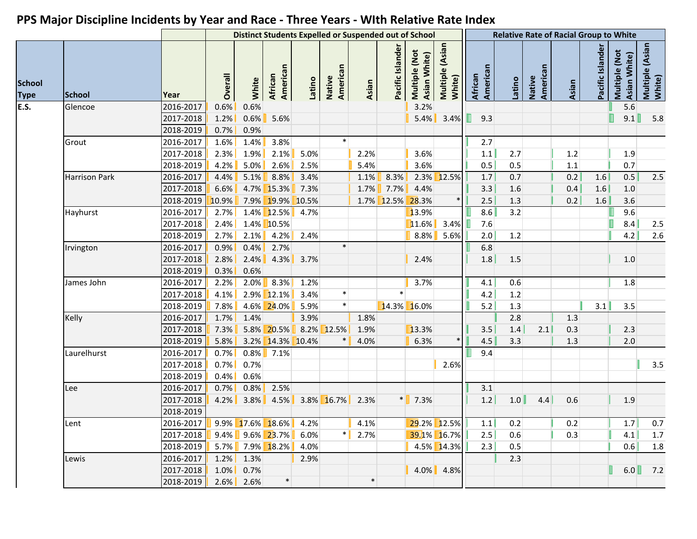|                              |                      |           |         |              |                            |        | <b>Distinct Students Expelled or Suspended out of School</b> |        |                  |                               |                           |                     |        |                    | <b>Relative Rate of Racial Group to White</b> |                  |                               |                           |
|------------------------------|----------------------|-----------|---------|--------------|----------------------------|--------|--------------------------------------------------------------|--------|------------------|-------------------------------|---------------------------|---------------------|--------|--------------------|-----------------------------------------------|------------------|-------------------------------|---------------------------|
| <b>School</b><br><b>Type</b> | <b>School</b>        | Year      | Overall | White        | American<br><b>African</b> | Latino | Native<br>American                                           | Asian  | Pacific Islander | Multiple (Not<br>Asian White) | Multiple (Asian<br>White) | American<br>African | Latino | American<br>Native | Asian                                         | Pacific Islander | Multiple (Not<br>Asian White) | Multiple (Asian<br>White) |
| <b>E.S.</b>                  | Glencoe              | 2016-2017 | 0.6%    | 0.6%         |                            |        |                                                              |        |                  | 3.2%                          |                           |                     |        |                    |                                               |                  | 5.6                           |                           |
|                              |                      | 2017-2018 | 1.2%    | 0.6%         | 5.6%                       |        |                                                              |        |                  | 5.4%                          | 3.4%                      | 9.3<br>н            |        |                    |                                               |                  | П<br>9.1                      | 5.8                       |
|                              |                      | 2018-2019 | 0.7%    | 0.9%         |                            |        |                                                              |        |                  |                               |                           |                     |        |                    |                                               |                  |                               |                           |
|                              | Grout                | 2016-2017 | 1.6%    | 1.4%         | 3.8%                       |        | $\ast$                                                       |        |                  |                               |                           | 2.7                 |        |                    |                                               |                  |                               |                           |
|                              |                      | 2017-2018 | 2.3%    | 1.9%         | 2.1%                       | 5.0%   |                                                              | 2.2%   |                  | 3.6%                          |                           | 1.1                 | 2.7    |                    | 1.2                                           |                  | 1.9                           |                           |
|                              |                      | 2018-2019 | 4.2%    | 5.0%         | $2.6\%$                    | 2.5%   |                                                              | 5.4%   |                  | 3.6%                          |                           | 0.5                 | 0.5    |                    | 1.1                                           |                  | 0.7                           |                           |
|                              | <b>Harrison Park</b> | 2016-2017 | 4.4%    | $5.1\%$      | 8.8%                       | 3.4%   |                                                              | 1.1%   | 8.3%             |                               | 2.3% 12.5%                | 1.7                 | 0.7    |                    | 0.2                                           | 1.6              | 0.5                           | 2.5                       |
|                              |                      | 2017-2018 | 6.6%    |              | $4.7\%$ 15.3%              | 7.3%   |                                                              |        | $1.7\%$ 7.7%     | 4.4%                          |                           | 3.3                 | 1.6    |                    | 0.4                                           | 1.6              | $1.0\,$                       |                           |
|                              |                      | 2018-2019 | 10.9%   |              | 7.9% 19.9% 10.5%           |        |                                                              |        | 1.7% 12.5% 28.3% |                               |                           | 2.5                 | 1.3    |                    | 0.2                                           | 1.6              | 3.6                           |                           |
|                              | Hayhurst             | 2016-2017 | 2.7%    |              | $1.4\%$ 12.5%              | 4.7%   |                                                              |        |                  | 13.9%                         |                           | 8.6                 | 3.2    |                    |                                               |                  | 9.6                           |                           |
|                              |                      | 2017-2018 | 2.4%    |              | 1.4% 10.5%                 |        |                                                              |        |                  | 11.6%                         | 3.4%                      | 7.6                 |        |                    |                                               |                  | 8.4                           | 2.5                       |
|                              |                      | 2018-2019 | 2.7%    | 2.1%         | $4.2\%$                    | 2.4%   |                                                              |        |                  | $8.8\%$                       | 5.6%                      | 2.0                 | 1.2    |                    |                                               |                  | 4.2                           | 2.6                       |
|                              | Irvington            | 2016-2017 | 0.9%    | 0.4%         | 2.7%                       |        | $\ast$                                                       |        |                  |                               |                           | 6.8                 |        |                    |                                               |                  |                               |                           |
|                              |                      | 2017-2018 | 2.8%    | 2.4%         | 4.3%                       | 3.7%   |                                                              |        |                  | 2.4%                          |                           | 1.8                 | 1.5    |                    |                                               |                  | 1.0                           |                           |
|                              |                      | 2018-2019 | 0.3%    | 0.6%         |                            |        |                                                              |        |                  |                               |                           |                     |        |                    |                                               |                  |                               |                           |
|                              | James John           | 2016-2017 | 2.2%    | 2.0%         | $8.3\%$                    | 1.2%   |                                                              |        |                  | 3.7%                          |                           | 4.1                 | 0.6    |                    |                                               |                  | 1.8                           |                           |
|                              |                      | 2017-2018 | 4.1%    |              | $2.9\%$ 12.1%              | 3.4%   | $\ast$                                                       |        | $\ast$           |                               |                           | 4.2                 | 1.2    |                    |                                               |                  |                               |                           |
|                              |                      | 2018-2019 | 7.8%    |              | 4.6% 24.0%                 | 5.9%   | $\ast$                                                       |        |                  | 14.3% 16.0%                   |                           | 5.2                 | 1.3    |                    |                                               | 3.1              | 3.5                           |                           |
|                              | Kelly                | 2016-2017 | 1.7%    | 1.4%         |                            | 3.9%   |                                                              | 1.8%   |                  |                               |                           |                     | 2.8    |                    | 1.3                                           |                  |                               |                           |
|                              |                      | 2017-2018 | 7.3%    |              | 5.8% 20.5%                 | 8.2%   | 12.5%                                                        | 1.9%   |                  | 13.3%                         |                           | 3.5                 | 1.4    | 2.1                | 0.3                                           |                  | 2.3                           |                           |
|                              |                      | 2018-2019 | 5.8%    |              | 3.2% 14.3% 10.4%           |        |                                                              | 4.0%   |                  | 6.3%                          |                           | 4.5                 | 3.3    |                    | 1.3                                           |                  | 2.0                           |                           |
|                              | Laurelhurst          | 2016-2017 | 0.7%    |              | $0.8\%$ 7.1%               |        |                                                              |        |                  |                               |                           | 9.4                 |        |                    |                                               |                  |                               |                           |
|                              |                      | 2017-2018 | 0.7%    | 0.7%         |                            |        |                                                              |        |                  |                               | 2.6%                      |                     |        |                    |                                               |                  |                               | 3.5                       |
|                              |                      | 2018-2019 | 0.4%    | 0.6%         |                            |        |                                                              |        |                  |                               |                           |                     |        |                    |                                               |                  |                               |                           |
|                              | Lee                  | 2016-2017 | 0.7%    | 0.8%         | 2.5%                       |        |                                                              |        |                  |                               |                           | 3.1                 |        |                    |                                               |                  |                               |                           |
|                              |                      | 2017-2018 | 4.2%    |              | $3.8\%$ 4.5%               |        | $3.8\%$ 16.7%                                                | 2.3%   |                  | $\frac{*}{1}$ 7.3%            |                           | $1.2$               | 1.0    | 4.4                | 0.6                                           |                  | 1.9                           |                           |
|                              |                      | 2018-2019 |         |              |                            |        |                                                              |        |                  |                               |                           |                     |        |                    |                                               |                  |                               |                           |
|                              | Lent                 | 2016-2017 |         |              | 9.9% $17.6\%$ $18.6\%$     | 4.2%   |                                                              | 4.1%   |                  |                               | 29.2% 12.5%               | 1.1                 | 0.2    |                    | 0.2                                           |                  | 1.7                           | 0.7                       |
|                              |                      | 2017-2018 |         |              | $9.4\%$ 9.6% 23.7%         | 6.0%   | $\ast$                                                       | 2.7%   |                  |                               | 39.1% 16.7%               | 2.5                 | 0.6    |                    | 0.3                                           |                  | 4.1                           | 1.7                       |
|                              |                      | 2018-2019 |         |              | $5.7\%$ 7.9% 18.2%         | 4.0%   |                                                              |        |                  |                               | 4.5% 14.3%                | 2.3                 | 0.5    |                    |                                               |                  | 0.6                           | 1.8                       |
|                              | Lewis                | 2016-2017 |         | $1.2\%$ 1.3% |                            | 2.9%   |                                                              |        |                  |                               |                           |                     | 2.3    |                    |                                               |                  |                               |                           |
|                              |                      | 2017-2018 |         | $1.0\%$ 0.7% |                            |        |                                                              |        |                  |                               | $4.0\%$ 4.8%              |                     |        |                    |                                               |                  | 6.0                           | 7.2                       |
|                              |                      | 2018-2019 |         | $2.6\%$ 2.6% | $\ast$                     |        |                                                              | $\ast$ |                  |                               |                           |                     |        |                    |                                               |                  |                               |                           |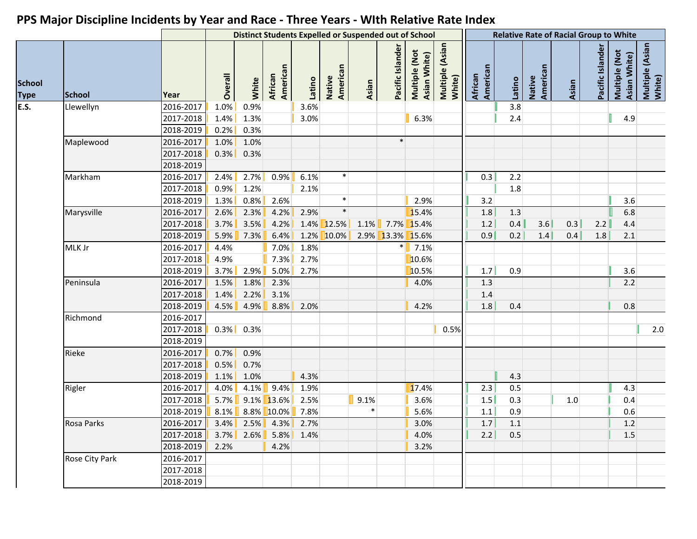|                              |                |           |         |              |                                |        | <b>Distinct Students Expelled or Suspended out of School</b> |       |                  |                               |                           |                     |             |                    | <b>Relative Rate of Racial Group to White</b> |                  |                               |                           |
|------------------------------|----------------|-----------|---------|--------------|--------------------------------|--------|--------------------------------------------------------------|-------|------------------|-------------------------------|---------------------------|---------------------|-------------|--------------------|-----------------------------------------------|------------------|-------------------------------|---------------------------|
| <b>School</b><br><b>Type</b> | <b>School</b>  | Year      | Overall | White        | American<br><b>African</b>     | Latino | Native<br>American                                           | Asian | Pacific Islande  | Multiple (Not<br>Asian White) | Multiple (Asian<br>White) | African<br>American | Latino      | American<br>Native | Asian                                         | Pacific Islander | Multiple (Not<br>Asian White) | Multiple (Asian<br>White) |
| <b>E.S.</b>                  | Llewellyn      | 2016-2017 | 1.0%    | 0.9%         |                                | 3.6%   |                                                              |       |                  |                               |                           |                     | 3.8         |                    |                                               |                  |                               |                           |
|                              |                | 2017-2018 | 1.4%    | 1.3%         |                                | 3.0%   |                                                              |       |                  | 6.3%                          |                           |                     | 2.4         |                    |                                               |                  | 4.9                           |                           |
|                              |                | 2018-2019 | 0.2%    | 0.3%         |                                |        |                                                              |       |                  |                               |                           |                     |             |                    |                                               |                  |                               |                           |
|                              | Maplewood      | 2016-2017 | 1.0%    | 1.0%         |                                |        |                                                              |       | $\ast$           |                               |                           |                     |             |                    |                                               |                  |                               |                           |
|                              |                | 2017-2018 | 0.3%    | 0.3%         |                                |        |                                                              |       |                  |                               |                           |                     |             |                    |                                               |                  |                               |                           |
|                              |                | 2018-2019 |         |              |                                |        |                                                              |       |                  |                               |                           |                     |             |                    |                                               |                  |                               |                           |
|                              | Markham        | 2016-2017 | 2.4%    | 2.7%         | 0.9%                           | 6.1%   | $\ast$                                                       |       |                  |                               |                           | 0.3                 | 2.2         |                    |                                               |                  |                               |                           |
|                              |                | 2017-2018 | 0.9%    | 1.2%         |                                | 2.1%   |                                                              |       |                  |                               |                           |                     | 1.8         |                    |                                               |                  |                               |                           |
|                              |                | 2018-2019 | 1.3%    | 0.8%         | 2.6%                           |        | $\ast$                                                       |       |                  | 2.9%                          |                           | 3.2                 |             |                    |                                               |                  | 3.6                           |                           |
|                              | Marysville     | 2016-2017 | 2.6%    | 2.3%         | 4.2%                           | 2.9%   | $\ast$                                                       |       |                  | 15.4%                         |                           | 1.8                 | 1.3         |                    |                                               |                  | 6.8                           |                           |
|                              |                | 2017-2018 | 3.7%    | 3.5%         | 4.2%                           |        | 1.4% 12.5%                                                   | 1.1%  |                  | 7.7% 15.4%                    |                           | $1.2$               | 0.4         | 3.6                | 0.3                                           | 2.2              | 4.4                           |                           |
|                              |                | 2018-2019 |         | $5.9\%$ 7.3% | 6.4%                           |        | 1.2% 10.0%                                                   |       | 2.9% 13.3% 15.6% |                               |                           | 0.9                 | 0.2         | 1.4                | 0.4                                           | 1.8              | 2.1                           |                           |
|                              | MLK Jr         | 2016-2017 | 4.4%    |              | $7.0\%$                        | 1.8%   |                                                              |       |                  | $   7.1\%$                    |                           |                     |             |                    |                                               |                  |                               |                           |
|                              |                | 2017-2018 | 4.9%    |              | $7.3\%$                        | 2.7%   |                                                              |       |                  | 10.6%                         |                           |                     |             |                    |                                               |                  |                               |                           |
|                              |                | 2018-2019 | 3.7%    | 2.9%         | $5.0\%$                        | 2.7%   |                                                              |       |                  | 10.5%                         |                           | 1.7                 | 0.9         |                    |                                               |                  | 3.6                           |                           |
|                              | Peninsula      | 2016-2017 | 1.5%    | 1.8%         | 2.3%                           |        |                                                              |       |                  | 4.0%                          |                           | 1.3                 |             |                    |                                               |                  | 2.2                           |                           |
|                              |                | 2017-2018 | 1.4%    | 2.2%         | 3.1%                           |        |                                                              |       |                  |                               |                           | 1.4                 |             |                    |                                               |                  |                               |                           |
|                              |                | 2018-2019 | 4.5%    | 4.9%         | $8.8\%$                        | 2.0%   |                                                              |       |                  | 4.2%                          |                           | 1.8                 | 0.4         |                    |                                               |                  | 0.8                           |                           |
|                              | Richmond       | 2016-2017 |         |              |                                |        |                                                              |       |                  |                               |                           |                     |             |                    |                                               |                  |                               |                           |
|                              |                | 2017-2018 | $0.3\%$ | 0.3%         |                                |        |                                                              |       |                  |                               | 0.5%                      |                     |             |                    |                                               |                  |                               | $2.0$                     |
|                              |                | 2018-2019 |         |              |                                |        |                                                              |       |                  |                               |                           |                     |             |                    |                                               |                  |                               |                           |
|                              | Rieke          | 2016-2017 | 0.7%    | 0.9%         |                                |        |                                                              |       |                  |                               |                           |                     |             |                    |                                               |                  |                               |                           |
|                              |                | 2017-2018 | 0.5%    | 0.7%         |                                |        |                                                              |       |                  |                               |                           |                     |             |                    |                                               |                  |                               |                           |
|                              |                | 2018-2019 | 1.1%    | 1.0%         |                                | 4.3%   |                                                              |       |                  |                               |                           |                     | 4.3         |                    |                                               |                  |                               |                           |
|                              | Rigler         | 2016-2017 | 4.0%    |              | $4.1\%$ 9.4%                   | 1.9%   |                                                              |       |                  | 17.4%                         |                           | 2.3                 | 0.5         |                    |                                               |                  | 4.3                           |                           |
|                              |                | 2017-2018 |         |              | $5.7\%$ 9.1% 13.6%             | 2.5%   |                                                              | 9.1%  |                  | 3.6%                          |                           | 1.5                 | 0.3         |                    | $1.0\,$                                       |                  | 0.4                           |                           |
|                              |                | 2018-2019 |         |              | 8.1% $\blacksquare$ 8.8% 10.0% | 7.8%   |                                                              | *     |                  | 5.6%                          |                           | 1.1                 | 0.9         |                    |                                               |                  | 0.6                           |                           |
|                              | Rosa Parks     | 2016-2017 |         |              | $3.4\%$ 2.5% 4.3% 2.7%         |        |                                                              |       |                  | 3.0%                          |                           |                     | $1.7$ $1.1$ |                    |                                               |                  | 1.2                           |                           |
|                              |                | 2017-2018 |         |              | $3.7\%$ 2.6% 5.8% 1.4%         |        |                                                              |       |                  | 4.0%                          |                           | 2.2                 | 0.5         |                    |                                               |                  | 1.5                           |                           |
|                              |                | 2018-2019 | 2.2%    |              | 4.2%                           |        |                                                              |       |                  | 3.2%                          |                           |                     |             |                    |                                               |                  |                               |                           |
|                              | Rose City Park | 2016-2017 |         |              |                                |        |                                                              |       |                  |                               |                           |                     |             |                    |                                               |                  |                               |                           |
|                              |                | 2017-2018 |         |              |                                |        |                                                              |       |                  |                               |                           |                     |             |                    |                                               |                  |                               |                           |
|                              |                |           |         |              |                                |        |                                                              |       |                  |                               |                           |                     |             |                    |                                               |                  |                               |                           |
|                              |                | 2018-2019 |         |              |                                |        |                                                              |       |                  |                               |                           |                     |             |                    |                                               |                  |                               |                           |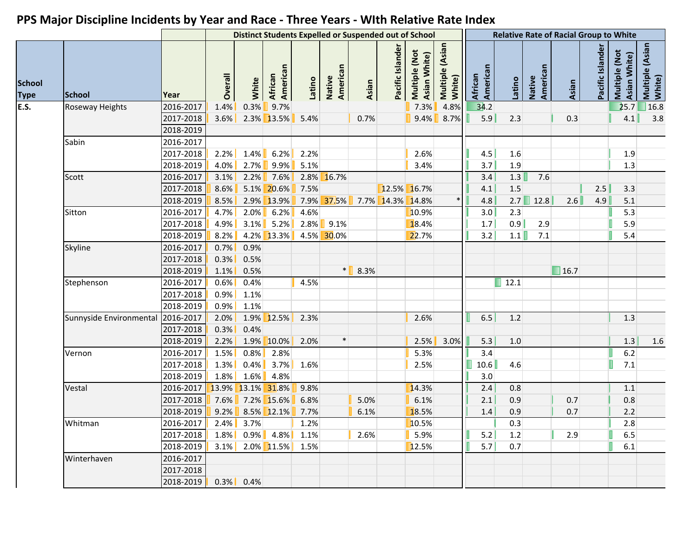|                              |                                   |           |         |              |                            |         |                    |       |                  | <b>Distinct Students Expelled or Suspended out of School</b> |                           |                     |                     |                    | <b>Relative Rate of Racial Group to White</b> |                  |                               |                           |
|------------------------------|-----------------------------------|-----------|---------|--------------|----------------------------|---------|--------------------|-------|------------------|--------------------------------------------------------------|---------------------------|---------------------|---------------------|--------------------|-----------------------------------------------|------------------|-------------------------------|---------------------------|
| <b>School</b><br><b>Type</b> | <b>School</b>                     | Year      | Overall | White        | American<br><b>African</b> | Latino  | Native<br>American | Asian | Pacific Islander | Multiple (Not<br>Asian White)                                | Multiple (Asian<br>White) | African<br>American | Latino              | American<br>Native | Asian                                         | Pacific Islander | Multiple (Not<br>Asian White) | Multiple (Asian<br>White) |
|                              | Roseway Heights                   | 2016-2017 | 1.4%    | 0.3%         | 9.7%                       |         |                    |       |                  | 7.3%                                                         | 4.8%                      | 34.2                |                     |                    |                                               |                  | 25.7                          | 16.8                      |
|                              |                                   | 2017-2018 | $3.6\%$ |              | $2.3\%$ 13.5%              | 5.4%    |                    | 0.7%  |                  | 9.4%                                                         | 8.7%                      | 5.9                 | 2.3                 |                    | 0.3                                           |                  | 4.1                           | 3.8                       |
|                              |                                   | 2018-2019 |         |              |                            |         |                    |       |                  |                                                              |                           |                     |                     |                    |                                               |                  |                               |                           |
|                              | Sabin                             | 2016-2017 |         |              |                            |         |                    |       |                  |                                                              |                           |                     |                     |                    |                                               |                  |                               |                           |
|                              |                                   | 2017-2018 | 2.2%    | 1.4%         | 6.2%                       | 2.2%    |                    |       |                  | 2.6%                                                         |                           | 4.5                 | 1.6                 |                    |                                               |                  | 1.9                           |                           |
|                              |                                   | 2018-2019 | 4.0%    | 2.7%         | $9.9\%$                    | 5.1%    |                    |       |                  | 3.4%                                                         |                           | 3.7                 | 1.9                 |                    |                                               |                  | 1.3                           |                           |
|                              | Scott                             | 2016-2017 | 3.1%    | 2.2%         | $7.6\%$                    |         | 2.8% 16.7%         |       |                  |                                                              |                           | 3.4                 | 1.3                 | 7.6                |                                               |                  |                               |                           |
|                              |                                   | 2017-2018 | 8.6%    |              | $5.1\%$ 20.6%              | 7.5%    |                    |       |                  | 12.5% 16.7%                                                  |                           | 4.1                 | 1.5                 |                    |                                               | 2.5              | 3.3                           |                           |
|                              |                                   | 2018-2019 | 8.5%    |              | $2.9\%$ 13.9%              |         | 7.9% 37.5%         |       | 7.7% 14.3% 14.8% |                                                              |                           | 4.8                 |                     | $2.7$ 12.8         | 2.6                                           | 4.9              | 5.1                           |                           |
|                              | Sitton                            | 2016-2017 | 4.7%    | 2.0%         | $6.2\%$                    | 4.6%    |                    |       |                  | 10.9%                                                        |                           | 3.0                 | 2.3                 |                    |                                               |                  | 5.3                           |                           |
|                              |                                   | 2017-2018 | 4.9%    | 3.1%         | 5.2%                       | $2.8\%$ | 9.1%               |       |                  | 18.4%                                                        |                           | 1.7                 | 0.9                 | 2.9                |                                               |                  | 5.9                           |                           |
|                              |                                   | 2018-2019 | 8.2%    |              | $4.2\%$ 13.3%              |         | 4.5% 30.0%         |       |                  | 22.7%                                                        |                           | 3.2                 | 1.1                 | 7.1                |                                               |                  | 5.4                           |                           |
|                              | Skyline                           | 2016-2017 | 0.7%    | 0.9%         |                            |         |                    |       |                  |                                                              |                           |                     |                     |                    |                                               |                  |                               |                           |
|                              |                                   | 2017-2018 | 0.3%    | 0.5%         |                            |         |                    |       |                  |                                                              |                           |                     |                     |                    |                                               |                  |                               |                           |
|                              |                                   | 2018-2019 | 1.1%    | 0.5%         |                            |         | $\ast$             | 8.3%  |                  |                                                              |                           |                     |                     |                    | $\blacksquare$ 16.7                           |                  |                               |                           |
|                              | Stephenson                        | 2016-2017 | 0.6%    | 0.4%         |                            | 4.5%    |                    |       |                  |                                                              |                           |                     | $\blacksquare$ 12.1 |                    |                                               |                  |                               |                           |
|                              |                                   | 2017-2018 | 0.9%    | 1.1%         |                            |         |                    |       |                  |                                                              |                           |                     |                     |                    |                                               |                  |                               |                           |
|                              |                                   | 2018-2019 | 0.9%    | 1.1%         |                            |         |                    |       |                  |                                                              |                           |                     |                     |                    |                                               |                  |                               |                           |
|                              | Sunnyside Environmental 2016-2017 |           | 2.0%    |              | $1.9\%$ 12.5%              | 2.3%    |                    |       |                  | 2.6%                                                         |                           | 6.5                 | 1.2                 |                    |                                               |                  | 1.3                           |                           |
|                              |                                   | 2017-2018 | 0.3%    | 0.4%         |                            |         |                    |       |                  |                                                              |                           |                     |                     |                    |                                               |                  |                               |                           |
|                              |                                   | 2018-2019 | 2.2%    |              | 1.9% 10.0%                 | 2.0%    | $\ast$             |       |                  | 2.5%                                                         | 3.0%                      | 5.3                 | 1.0                 |                    |                                               |                  | 1.3                           | 1.6                       |
|                              | Vernon                            | 2016-2017 | 1.5%    | 0.8%         | 2.8%                       |         |                    |       |                  | 5.3%                                                         |                           | 3.4                 |                     |                    |                                               |                  | $6.2$                         |                           |
|                              |                                   | 2017-2018 | 1.3%    | 0.4%         | 3.7%                       | 1.6%    |                    |       |                  | 2.5%                                                         |                           | 10.6                | 4.6                 |                    |                                               |                  | $7.1$                         |                           |
|                              |                                   | 2018-2019 | 1.8%    | 1.6%         | 4.8%                       |         |                    |       |                  |                                                              |                           | 3.0                 |                     |                    |                                               |                  |                               |                           |
|                              | Vestal                            | 2016-2017 |         |              | 13.9% 13.1% 31.8%          | 9.8%    |                    |       |                  | 14.3%                                                        |                           | 2.4                 | 0.8                 |                    |                                               |                  | 1.1                           |                           |
|                              |                                   | 2017-2018 |         |              | 7.6% 7.2% 15.6%            | 6.8%    |                    | 5.0%  |                  | 6.1%                                                         |                           | 2.1                 | 0.9                 |                    | 0.7                                           |                  | 0.8                           |                           |
|                              |                                   | 2018-2019 | 9.2%    |              | $8.5\%$ 12.1%              | 7.7%    |                    | 6.1%  |                  | 18.5%                                                        |                           | 1.4                 | 0.9                 |                    | 0.7                                           |                  | 2.2                           |                           |
|                              | Whitman                           | 2016-2017 | 2.4%    | 3.7%         |                            | 1.2%    |                    |       |                  | 10.5%                                                        |                           |                     | 0.3                 |                    |                                               |                  | 2.8                           |                           |
|                              |                                   | 2017-2018 | 1.8%    | $0.9\%$      | $4.8\%$                    | 1.1%    |                    | 2.6%  |                  | 5.9%                                                         |                           | 5.2                 | 1.2                 |                    | 2.9                                           |                  | 6.5                           |                           |
|                              |                                   | 2018-2019 | $3.1\%$ |              | $2.0\%$ 11.5%              | 1.5%    |                    |       |                  | 12.5%                                                        |                           | 5.7                 | 0.7                 |                    |                                               |                  | 6.1                           |                           |
|                              | Winterhaven                       | 2016-2017 |         |              |                            |         |                    |       |                  |                                                              |                           |                     |                     |                    |                                               |                  |                               |                           |
|                              |                                   | 2017-2018 |         |              |                            |         |                    |       |                  |                                                              |                           |                     |                     |                    |                                               |                  |                               |                           |
|                              |                                   | 2018-2019 |         | $0.3\%$ 0.4% |                            |         |                    |       |                  |                                                              |                           |                     |                     |                    |                                               |                  |                               |                           |
|                              |                                   |           |         |              |                            |         |                    |       |                  |                                                              |                           |                     |                     |                    |                                               |                  |                               |                           |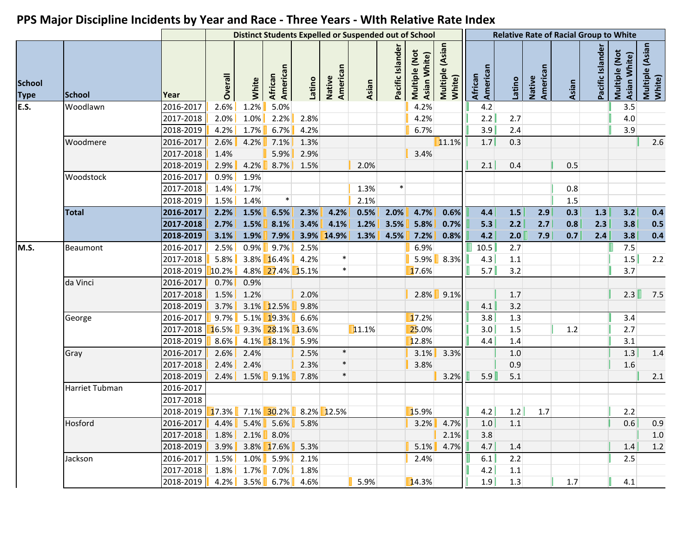|                              |                |           |         |         |                        |        |                    | <b>Distinct Students Expelled or Suspended out of School</b> |                  |                               |                           |                     |         |                    | <b>Relative Rate of Racial Group to White</b> |                  |                               |                           |
|------------------------------|----------------|-----------|---------|---------|------------------------|--------|--------------------|--------------------------------------------------------------|------------------|-------------------------------|---------------------------|---------------------|---------|--------------------|-----------------------------------------------|------------------|-------------------------------|---------------------------|
| <b>School</b><br><b>Type</b> | <b>School</b>  | Year      | Overall | White   | African<br>American    | Latino | Native<br>American | Asian                                                        | Pacific Islander | Multiple (Not<br>Asian White) | Multiple (Asian<br>White) | American<br>African | Latino  | American<br>Native | Asian                                         | Pacific Islander | Multiple (Not<br>Asian White) | Multiple (Asian<br>White) |
| E.S.                         | Woodlawn       | 2016-2017 | 2.6%    | 1.2%    | 5.0%                   |        |                    |                                                              |                  | 4.2%                          |                           | 4.2                 |         |                    |                                               |                  | 3.5                           |                           |
|                              |                | 2017-2018 | 2.0%    | $1.0\%$ | $2.2\%$                | 2.8%   |                    |                                                              |                  | 4.2%                          |                           | 2.2                 | 2.7     |                    |                                               |                  | $4.0\,$                       |                           |
|                              |                | 2018-2019 | 4.2%    | 1.7%    | 6.7%                   | 4.2%   |                    |                                                              |                  | 6.7%                          |                           | 3.9                 | 2.4     |                    |                                               |                  | 3.9                           |                           |
|                              | Woodmere       | 2016-2017 | 2.6%    | 4.2%    | $7.1\%$                | 1.3%   |                    |                                                              |                  |                               | 11.1%                     | 1.7                 | 0.3     |                    |                                               |                  |                               | 2.6                       |
|                              |                | 2017-2018 | 1.4%    |         | 5.9%                   | 2.9%   |                    |                                                              |                  | 3.4%                          |                           |                     |         |                    |                                               |                  |                               |                           |
|                              |                | 2018-2019 | 2.9%    | 4.2%    | 8.7%                   | 1.5%   |                    | 2.0%                                                         |                  |                               |                           | 2.1                 | 0.4     |                    | 0.5                                           |                  |                               |                           |
|                              | Woodstock      | 2016-2017 | 0.9%    | 1.9%    |                        |        |                    |                                                              |                  |                               |                           |                     |         |                    |                                               |                  |                               |                           |
|                              |                | 2017-2018 | 1.4%    | 1.7%    |                        |        |                    | 1.3%                                                         | $\ast$           |                               |                           |                     |         |                    | 0.8                                           |                  |                               |                           |
|                              |                | 2018-2019 | 1.5%    | 1.4%    | $\ast$                 |        |                    | 2.1%                                                         |                  |                               |                           |                     |         |                    | 1.5                                           |                  |                               |                           |
|                              | <b>Total</b>   | 2016-2017 | 2.2%    | 1.5%    | 6.5%                   | 2.3%   | 4.2%               | 0.5%                                                         | 2.0%             | 4.7%                          | 0.6%                      | 4.4                 | 1.5     | 2.9                | 0.3                                           | 1.3              | 3.2                           | 0.4                       |
|                              |                | 2017-2018 | 2.7%    | 1.5%    | 8.1%                   | 3.4%   | 4.1%               | 1.2%                                                         | 3.5%             | 5.8%                          | 0.7%                      | 5.3                 | 2.2     | 2.7                | 0.8                                           | 2.3              | 3.8                           | 0.5                       |
|                              |                | 2018-2019 | 3.1%    | 1.9%    | 7.9%                   |        | 3.9% 14.9%         | 1.3%                                                         | 4.5%             | 7.2%                          | 0.8%                      | 4.2                 | 2.0     | 7.9                | 0.7                                           | 2.4              | 3.8                           | 0.4                       |
| M.S.                         | Beaumont       | 2016-2017 | 2.5%    | 0.9%    | 9.7%                   | 2.5%   |                    |                                                              |                  | 6.9%                          |                           | 10.5                | 2.7     |                    |                                               |                  | 7.5                           |                           |
|                              |                | 2017-2018 | 5.8%    |         | $3.8\%$ 16.4%          | 4.2%   | $\ast$             |                                                              |                  | 5.9%                          | 8.3%                      | 4.3                 | $1.1\,$ |                    |                                               |                  | 1.5                           | 2.2                       |
|                              |                | 2018-2019 | 10.2%   |         | 4.8% 27.4% 15.1%       |        | $\ast$             |                                                              |                  | 17.6%                         |                           | 5.7                 | 3.2     |                    |                                               |                  | 3.7                           |                           |
|                              | da Vinci       | 2016-2017 | 0.7%    | 0.9%    |                        |        |                    |                                                              |                  |                               |                           |                     |         |                    |                                               |                  |                               |                           |
|                              |                | 2017-2018 | 1.5%    | 1.2%    |                        | 2.0%   |                    |                                                              |                  |                               | $2.8\%$ 9.1%              |                     | 1.7     |                    |                                               |                  | 2.3                           | 7.5                       |
|                              |                | 2018-2019 | 3.7%    |         | 3.1% 12.5%             | 9.8%   |                    |                                                              |                  |                               |                           | 4.1                 | 3.2     |                    |                                               |                  |                               |                           |
|                              | George         | 2016-2017 | 9.7%    |         | 5.1% 19.3%             | 6.6%   |                    |                                                              |                  | 17.2%                         |                           | 3.8                 | 1.3     |                    |                                               |                  | 3.4                           |                           |
|                              |                | 2017-2018 |         |         | 16.5% 9.3% 28.1% 13.6% |        |                    | 11.1%                                                        |                  | 25.0%                         |                           | 3.0                 | 1.5     |                    | 1.2                                           |                  | 2.7                           |                           |
|                              |                | 2018-2019 | 8.6%    |         | 4.1% 18.1%             | 5.9%   |                    |                                                              |                  | 12.8%                         |                           | 4.4                 | 1.4     |                    |                                               |                  | 3.1                           |                           |
|                              | Gray           | 2016-2017 | 2.6%    | 2.4%    |                        | 2.5%   | $\ast$             |                                                              |                  | 3.1%                          | 3.3%                      |                     | 1.0     |                    |                                               |                  | $1.3$                         | 1.4                       |
|                              |                | 2017-2018 | 2.4%    | 2.4%    |                        | 2.3%   | $\ast$             |                                                              |                  | 3.8%                          |                           |                     | 0.9     |                    |                                               |                  | 1.6                           |                           |
|                              |                | 2018-2019 | $2.4\%$ |         | $1.5\%$ 9.1%           | 7.8%   | $\ast$             |                                                              |                  |                               | 3.2%                      | 5.9                 | 5.1     |                    |                                               |                  |                               | 2.1                       |
|                              | Harriet Tubman | 2016-2017 |         |         |                        |        |                    |                                                              |                  |                               |                           |                     |         |                    |                                               |                  |                               |                           |
|                              |                | 2017-2018 |         |         |                        |        |                    |                                                              |                  |                               |                           |                     |         |                    |                                               |                  |                               |                           |
|                              |                | 2018-2019 | 17.3%   |         | 7.1% 30.2%             |        | $8.2\%$ 12.5%      |                                                              |                  | 15.9%                         |                           | 4.2                 | 1.2     | 1.7                |                                               |                  | 2.2                           |                           |
|                              | Hosford        | 2016-2017 | 4.4%    | 5.4%    | $5.6\%$                | 5.8%   |                    |                                                              |                  | 3.2%                          | 4.7%                      | 1.0                 | 1.1     |                    |                                               |                  | 0.6                           | 0.9                       |
|                              |                | 2017-2018 | 1.8%    |         | $2.1\%$ 8.0%           |        |                    |                                                              |                  |                               | 2.1%                      | 3.8                 |         |                    |                                               |                  |                               | 1.0                       |
|                              |                | 2018-2019 | 3.9%    |         | 3.8% 17.6%             | 5.3%   |                    |                                                              |                  | 5.1%                          | 4.7%                      | 4.7                 | 1.4     |                    |                                               |                  | 1.4                           | 1.2                       |
|                              | Jackson        | 2016-2017 | 1.5%    | 1.0%    | $5.9\%$                | 2.1%   |                    |                                                              |                  | 2.4%                          |                           | 6.1                 | 2.2     |                    |                                               |                  | 2.5                           |                           |
|                              |                | 2017-2018 | 1.8%    | 1.7%    | 7.0%                   | 1.8%   |                    |                                                              |                  |                               |                           | 4.2                 | $1.1\,$ |                    |                                               |                  |                               |                           |
|                              |                | 2018-2019 | $4.2\%$ | 3.5%    | $6.7\%$                | 4.6%   |                    | 5.9%                                                         |                  | 14.3%                         |                           | 1.9                 | 1.3     |                    | 1.7                                           |                  | 4.1                           |                           |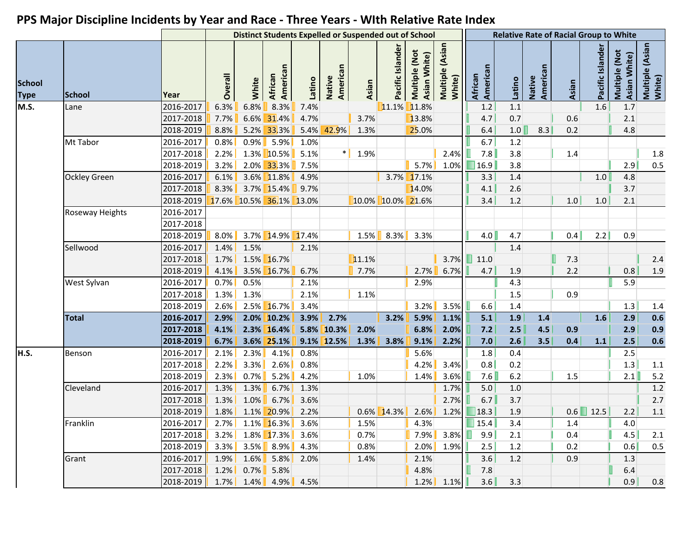| Multiple (Asian<br>White)<br>Multiple (Asian<br>White)<br>Pacific Islande<br>Pacific Islander<br>Multiple (Not<br>Multiple (Not<br>Asian White)<br>Asian White)<br>American<br>American<br>American<br>American<br>Overall<br>African<br>African<br>Native<br>Native<br>Latino<br>Latino<br>White<br>Asian<br>Asian<br><b>School</b><br>Year<br>8.3%<br>11.1% 11.8%<br>$1.1\,$<br>1.6<br>2016-2017<br>6.3%<br>6.8%<br>7.4%<br>1.2<br>1.7<br>Lane<br>13.8%<br>2017-2018<br>6.6%<br>31.4%<br>4.7%<br>0.7<br>2.1<br>7.7%<br>3.7%<br>4.7<br>0.6<br>42.9%<br>1.0<br>8.3<br>5.2% 33.3%<br>5.4%<br>25.0%<br>4.8<br>2018-2019<br>8.8%<br>1.3%<br>6.4<br>0.2<br>Mt Tabor<br>2016-2017<br>0.8%<br>0.9%<br>5.9%<br>6.7<br>1.2<br>1.0%<br>7.8<br>1.3% 10.5%<br>5.1%<br>1.9%<br>2.4%<br>3.8<br>$1.8\,$<br>2017-2018<br>2.2%<br>1.4<br>3.8<br>2018-2019<br>3.2%<br>$2.0\%$<br>33.3%<br>7.5%<br>5.7%<br>16.9<br>2.9<br>0.5<br>1.0%<br>2016-2017<br>3.6% 11.8%<br>3.7% 17.1%<br>Ockley Green<br>6.1%<br>4.9%<br>3.3<br>1.4<br>1.0<br>4.8<br>2017-2018<br>3.7% 15.4%<br>14.0%<br>8.3%<br>9.7%<br>4.1<br>2.6<br>3.7<br>2018-2019<br>17.6% 10.5% 36.1% 13.0%<br>10.0% 10.0% 21.6%<br>3.4<br>1.2<br>1.0<br>2.1<br>1.0<br>Roseway Heights<br>2016-2017<br>2017-2018<br>3.7% 14.9% 17.4%<br>4.0<br>0.4<br>2.2<br>2018-2019<br>8.0%<br>1.5%<br>8.3%<br>3.3%<br>4.7<br>0.9<br>2016-2017<br>Sellwood<br>1.4%<br>1.5%<br>1.4<br>2.1%<br>1.5% 16.7%<br>11.1%<br>3.7%<br>11.0<br>7.3<br>2017-2018<br>1.7%<br>E.<br>2.4<br>3.5% 16.7%<br>2018-2019<br>4.1%<br>6.7%<br>7.7%<br>6.7%<br>4.7<br>0.8<br>1.9<br>2.7%<br>1.9<br>2.2<br>2016-2017<br>0.7%<br>0.5%<br>West Sylvan<br>2.1%<br>4.3<br>5.9<br>2.9%<br>1.3%<br>1.3%<br>2.1%<br>2017-2018<br>1.1%<br>1.5<br>0.9<br>2018-2019<br>2.5% 16.7%<br>2.6%<br>3.4%<br>3.2%<br>3.5%<br>1.3<br>6.6<br>1.4<br>1.4<br>2.7%<br>5.9%<br>1.9<br>0.6<br><b>Total</b><br>2016-2017<br>2.0% 10.2%<br>3.9%<br>3.2%<br>1.1%<br>1.6<br>2.9<br>2.9%<br>5.1<br>1.4<br>0.9<br>5.8% 10.3%<br>2.3% 16.4%<br>2.0%<br>6.8%<br>2.0%<br>2.5<br>4.5<br>2.9<br>2017-2018<br>4.1%<br>7.2<br>0.9<br>0.6<br>9.1% 12.5%<br>7.0<br>0.4<br>2.5<br>2018-2019<br>6.7%<br>3.6% 25.1%<br>1.3%<br>3.8%<br>9.1%<br>2.2%<br>2.6<br>3.5<br>1.1<br>2016-2017<br>2.1%<br>2.3%<br>4.1%<br>0.8%<br>5.6%<br>1.8<br>0.4<br>2.5<br>Benson<br>0.8<br>1.3<br>2017-2018<br>2.2%<br>3.3%<br>$2.6\%$<br>0.8%<br>3.4%<br>0.2<br>1.1<br>4.2%<br>2018-2019<br>2.3%<br>0.7%<br>5.2%<br>7.6<br>$6.2$<br>4.2%<br>1.0%<br>2.1<br>5.2<br>1.4%<br>3.6%<br>1.5<br>$1.2\,$<br>2016-2017<br>1.3%<br>1.7%<br>5.0<br>Cleveland<br>1.3%<br>6.7%<br>1.3%<br>1.0<br>2.7<br>2.7%<br>6.7<br>2017-2018<br>1.3%<br>1.0%<br>6.7%<br>3.6%<br>3.7<br>12.5<br>2018-2019<br>1.8%<br>$0.6\%$ 14.3%<br>2.6%<br>1.2%<br>$\blacksquare$ 18.3<br>0.6<br>2.2<br>1.1<br>1.1% 20.9%<br>2.2%<br>1.9<br>2016-2017<br>$\boxed{\blacksquare}$ 15.4<br>3.4<br>$2.7\%$ 1.1% 16.3%<br>3.6%<br>1.5%<br>4.3%<br>4.0<br>Franklin<br>1.4<br>$3.8\%$<br>9.9<br>2017-2018<br>$3.2\%$ 1.8% 17.3%<br>0.7%<br>$7.9\%$<br>0.4<br>4.5<br>3.6%<br>2.1<br>2.1<br>$3.3\%$ 3.5% 8.9%<br>0.8%<br>2.5<br>0.6<br>2018-2019<br>4.3%<br>$2.0\%$<br>1.9%<br>1.2<br>0.2<br>0.5<br>2016-2017<br>$1.9\%$ $1.6\%$ 5.8%<br>1.4%<br>3.6<br>1.2<br>0.9<br>1.3<br>2.0%<br>2.1%<br>Grant<br>2017-2018<br>$0.7\%$ 5.8%<br>4.8%<br>7.8<br>6.4<br>$1.2\%$<br>3.6<br>$1.7\%$ 1.4% 4.9% 4.5%<br>0.9<br>$1.2\%$ 1.1% |                              |           |  | <b>Distinct Students Expelled or Suspended out of School</b> |  |  |  |     | <b>Relative Rate of Racial Group to White</b> |  |     |
|-----------------------------------------------------------------------------------------------------------------------------------------------------------------------------------------------------------------------------------------------------------------------------------------------------------------------------------------------------------------------------------------------------------------------------------------------------------------------------------------------------------------------------------------------------------------------------------------------------------------------------------------------------------------------------------------------------------------------------------------------------------------------------------------------------------------------------------------------------------------------------------------------------------------------------------------------------------------------------------------------------------------------------------------------------------------------------------------------------------------------------------------------------------------------------------------------------------------------------------------------------------------------------------------------------------------------------------------------------------------------------------------------------------------------------------------------------------------------------------------------------------------------------------------------------------------------------------------------------------------------------------------------------------------------------------------------------------------------------------------------------------------------------------------------------------------------------------------------------------------------------------------------------------------------------------------------------------------------------------------------------------------------------------------------------------------------------------------------------------------------------------------------------------------------------------------------------------------------------------------------------------------------------------------------------------------------------------------------------------------------------------------------------------------------------------------------------------------------------------------------------------------------------------------------------------------------------------------------------------------------------------------------------------------------------------------------------------------------------------------------------------------------------------------------------------------------------------------------------------------------------------------------------------------------------------------------------------------------------------------------------------------------------------------------------------------------------------------------------------------------------------------------------------------------------------------------------------------------------------------------------------------------------------------------------------------------------------------------------------------------------------------------------|------------------------------|-----------|--|--------------------------------------------------------------|--|--|--|-----|-----------------------------------------------|--|-----|
|                                                                                                                                                                                                                                                                                                                                                                                                                                                                                                                                                                                                                                                                                                                                                                                                                                                                                                                                                                                                                                                                                                                                                                                                                                                                                                                                                                                                                                                                                                                                                                                                                                                                                                                                                                                                                                                                                                                                                                                                                                                                                                                                                                                                                                                                                                                                                                                                                                                                                                                                                                                                                                                                                                                                                                                                                                                                                                                                                                                                                                                                                                                                                                                                                                                                                                                                                                                                     | <b>School</b><br><b>Type</b> |           |  |                                                              |  |  |  |     |                                               |  |     |
|                                                                                                                                                                                                                                                                                                                                                                                                                                                                                                                                                                                                                                                                                                                                                                                                                                                                                                                                                                                                                                                                                                                                                                                                                                                                                                                                                                                                                                                                                                                                                                                                                                                                                                                                                                                                                                                                                                                                                                                                                                                                                                                                                                                                                                                                                                                                                                                                                                                                                                                                                                                                                                                                                                                                                                                                                                                                                                                                                                                                                                                                                                                                                                                                                                                                                                                                                                                                     | M.S.                         |           |  |                                                              |  |  |  |     |                                               |  |     |
|                                                                                                                                                                                                                                                                                                                                                                                                                                                                                                                                                                                                                                                                                                                                                                                                                                                                                                                                                                                                                                                                                                                                                                                                                                                                                                                                                                                                                                                                                                                                                                                                                                                                                                                                                                                                                                                                                                                                                                                                                                                                                                                                                                                                                                                                                                                                                                                                                                                                                                                                                                                                                                                                                                                                                                                                                                                                                                                                                                                                                                                                                                                                                                                                                                                                                                                                                                                                     |                              |           |  |                                                              |  |  |  |     |                                               |  |     |
|                                                                                                                                                                                                                                                                                                                                                                                                                                                                                                                                                                                                                                                                                                                                                                                                                                                                                                                                                                                                                                                                                                                                                                                                                                                                                                                                                                                                                                                                                                                                                                                                                                                                                                                                                                                                                                                                                                                                                                                                                                                                                                                                                                                                                                                                                                                                                                                                                                                                                                                                                                                                                                                                                                                                                                                                                                                                                                                                                                                                                                                                                                                                                                                                                                                                                                                                                                                                     |                              |           |  |                                                              |  |  |  |     |                                               |  |     |
|                                                                                                                                                                                                                                                                                                                                                                                                                                                                                                                                                                                                                                                                                                                                                                                                                                                                                                                                                                                                                                                                                                                                                                                                                                                                                                                                                                                                                                                                                                                                                                                                                                                                                                                                                                                                                                                                                                                                                                                                                                                                                                                                                                                                                                                                                                                                                                                                                                                                                                                                                                                                                                                                                                                                                                                                                                                                                                                                                                                                                                                                                                                                                                                                                                                                                                                                                                                                     |                              |           |  |                                                              |  |  |  |     |                                               |  |     |
|                                                                                                                                                                                                                                                                                                                                                                                                                                                                                                                                                                                                                                                                                                                                                                                                                                                                                                                                                                                                                                                                                                                                                                                                                                                                                                                                                                                                                                                                                                                                                                                                                                                                                                                                                                                                                                                                                                                                                                                                                                                                                                                                                                                                                                                                                                                                                                                                                                                                                                                                                                                                                                                                                                                                                                                                                                                                                                                                                                                                                                                                                                                                                                                                                                                                                                                                                                                                     |                              |           |  |                                                              |  |  |  |     |                                               |  |     |
|                                                                                                                                                                                                                                                                                                                                                                                                                                                                                                                                                                                                                                                                                                                                                                                                                                                                                                                                                                                                                                                                                                                                                                                                                                                                                                                                                                                                                                                                                                                                                                                                                                                                                                                                                                                                                                                                                                                                                                                                                                                                                                                                                                                                                                                                                                                                                                                                                                                                                                                                                                                                                                                                                                                                                                                                                                                                                                                                                                                                                                                                                                                                                                                                                                                                                                                                                                                                     |                              |           |  |                                                              |  |  |  |     |                                               |  |     |
|                                                                                                                                                                                                                                                                                                                                                                                                                                                                                                                                                                                                                                                                                                                                                                                                                                                                                                                                                                                                                                                                                                                                                                                                                                                                                                                                                                                                                                                                                                                                                                                                                                                                                                                                                                                                                                                                                                                                                                                                                                                                                                                                                                                                                                                                                                                                                                                                                                                                                                                                                                                                                                                                                                                                                                                                                                                                                                                                                                                                                                                                                                                                                                                                                                                                                                                                                                                                     |                              |           |  |                                                              |  |  |  |     |                                               |  |     |
|                                                                                                                                                                                                                                                                                                                                                                                                                                                                                                                                                                                                                                                                                                                                                                                                                                                                                                                                                                                                                                                                                                                                                                                                                                                                                                                                                                                                                                                                                                                                                                                                                                                                                                                                                                                                                                                                                                                                                                                                                                                                                                                                                                                                                                                                                                                                                                                                                                                                                                                                                                                                                                                                                                                                                                                                                                                                                                                                                                                                                                                                                                                                                                                                                                                                                                                                                                                                     |                              |           |  |                                                              |  |  |  |     |                                               |  |     |
|                                                                                                                                                                                                                                                                                                                                                                                                                                                                                                                                                                                                                                                                                                                                                                                                                                                                                                                                                                                                                                                                                                                                                                                                                                                                                                                                                                                                                                                                                                                                                                                                                                                                                                                                                                                                                                                                                                                                                                                                                                                                                                                                                                                                                                                                                                                                                                                                                                                                                                                                                                                                                                                                                                                                                                                                                                                                                                                                                                                                                                                                                                                                                                                                                                                                                                                                                                                                     |                              |           |  |                                                              |  |  |  |     |                                               |  |     |
|                                                                                                                                                                                                                                                                                                                                                                                                                                                                                                                                                                                                                                                                                                                                                                                                                                                                                                                                                                                                                                                                                                                                                                                                                                                                                                                                                                                                                                                                                                                                                                                                                                                                                                                                                                                                                                                                                                                                                                                                                                                                                                                                                                                                                                                                                                                                                                                                                                                                                                                                                                                                                                                                                                                                                                                                                                                                                                                                                                                                                                                                                                                                                                                                                                                                                                                                                                                                     |                              |           |  |                                                              |  |  |  |     |                                               |  |     |
|                                                                                                                                                                                                                                                                                                                                                                                                                                                                                                                                                                                                                                                                                                                                                                                                                                                                                                                                                                                                                                                                                                                                                                                                                                                                                                                                                                                                                                                                                                                                                                                                                                                                                                                                                                                                                                                                                                                                                                                                                                                                                                                                                                                                                                                                                                                                                                                                                                                                                                                                                                                                                                                                                                                                                                                                                                                                                                                                                                                                                                                                                                                                                                                                                                                                                                                                                                                                     |                              |           |  |                                                              |  |  |  |     |                                               |  |     |
|                                                                                                                                                                                                                                                                                                                                                                                                                                                                                                                                                                                                                                                                                                                                                                                                                                                                                                                                                                                                                                                                                                                                                                                                                                                                                                                                                                                                                                                                                                                                                                                                                                                                                                                                                                                                                                                                                                                                                                                                                                                                                                                                                                                                                                                                                                                                                                                                                                                                                                                                                                                                                                                                                                                                                                                                                                                                                                                                                                                                                                                                                                                                                                                                                                                                                                                                                                                                     |                              |           |  |                                                              |  |  |  |     |                                               |  |     |
|                                                                                                                                                                                                                                                                                                                                                                                                                                                                                                                                                                                                                                                                                                                                                                                                                                                                                                                                                                                                                                                                                                                                                                                                                                                                                                                                                                                                                                                                                                                                                                                                                                                                                                                                                                                                                                                                                                                                                                                                                                                                                                                                                                                                                                                                                                                                                                                                                                                                                                                                                                                                                                                                                                                                                                                                                                                                                                                                                                                                                                                                                                                                                                                                                                                                                                                                                                                                     |                              |           |  |                                                              |  |  |  |     |                                               |  |     |
|                                                                                                                                                                                                                                                                                                                                                                                                                                                                                                                                                                                                                                                                                                                                                                                                                                                                                                                                                                                                                                                                                                                                                                                                                                                                                                                                                                                                                                                                                                                                                                                                                                                                                                                                                                                                                                                                                                                                                                                                                                                                                                                                                                                                                                                                                                                                                                                                                                                                                                                                                                                                                                                                                                                                                                                                                                                                                                                                                                                                                                                                                                                                                                                                                                                                                                                                                                                                     |                              |           |  |                                                              |  |  |  |     |                                               |  |     |
|                                                                                                                                                                                                                                                                                                                                                                                                                                                                                                                                                                                                                                                                                                                                                                                                                                                                                                                                                                                                                                                                                                                                                                                                                                                                                                                                                                                                                                                                                                                                                                                                                                                                                                                                                                                                                                                                                                                                                                                                                                                                                                                                                                                                                                                                                                                                                                                                                                                                                                                                                                                                                                                                                                                                                                                                                                                                                                                                                                                                                                                                                                                                                                                                                                                                                                                                                                                                     |                              |           |  |                                                              |  |  |  |     |                                               |  |     |
|                                                                                                                                                                                                                                                                                                                                                                                                                                                                                                                                                                                                                                                                                                                                                                                                                                                                                                                                                                                                                                                                                                                                                                                                                                                                                                                                                                                                                                                                                                                                                                                                                                                                                                                                                                                                                                                                                                                                                                                                                                                                                                                                                                                                                                                                                                                                                                                                                                                                                                                                                                                                                                                                                                                                                                                                                                                                                                                                                                                                                                                                                                                                                                                                                                                                                                                                                                                                     |                              |           |  |                                                              |  |  |  |     |                                               |  |     |
|                                                                                                                                                                                                                                                                                                                                                                                                                                                                                                                                                                                                                                                                                                                                                                                                                                                                                                                                                                                                                                                                                                                                                                                                                                                                                                                                                                                                                                                                                                                                                                                                                                                                                                                                                                                                                                                                                                                                                                                                                                                                                                                                                                                                                                                                                                                                                                                                                                                                                                                                                                                                                                                                                                                                                                                                                                                                                                                                                                                                                                                                                                                                                                                                                                                                                                                                                                                                     |                              |           |  |                                                              |  |  |  |     |                                               |  |     |
|                                                                                                                                                                                                                                                                                                                                                                                                                                                                                                                                                                                                                                                                                                                                                                                                                                                                                                                                                                                                                                                                                                                                                                                                                                                                                                                                                                                                                                                                                                                                                                                                                                                                                                                                                                                                                                                                                                                                                                                                                                                                                                                                                                                                                                                                                                                                                                                                                                                                                                                                                                                                                                                                                                                                                                                                                                                                                                                                                                                                                                                                                                                                                                                                                                                                                                                                                                                                     |                              |           |  |                                                              |  |  |  |     |                                               |  |     |
|                                                                                                                                                                                                                                                                                                                                                                                                                                                                                                                                                                                                                                                                                                                                                                                                                                                                                                                                                                                                                                                                                                                                                                                                                                                                                                                                                                                                                                                                                                                                                                                                                                                                                                                                                                                                                                                                                                                                                                                                                                                                                                                                                                                                                                                                                                                                                                                                                                                                                                                                                                                                                                                                                                                                                                                                                                                                                                                                                                                                                                                                                                                                                                                                                                                                                                                                                                                                     |                              |           |  |                                                              |  |  |  |     |                                               |  |     |
|                                                                                                                                                                                                                                                                                                                                                                                                                                                                                                                                                                                                                                                                                                                                                                                                                                                                                                                                                                                                                                                                                                                                                                                                                                                                                                                                                                                                                                                                                                                                                                                                                                                                                                                                                                                                                                                                                                                                                                                                                                                                                                                                                                                                                                                                                                                                                                                                                                                                                                                                                                                                                                                                                                                                                                                                                                                                                                                                                                                                                                                                                                                                                                                                                                                                                                                                                                                                     |                              |           |  |                                                              |  |  |  |     |                                               |  |     |
|                                                                                                                                                                                                                                                                                                                                                                                                                                                                                                                                                                                                                                                                                                                                                                                                                                                                                                                                                                                                                                                                                                                                                                                                                                                                                                                                                                                                                                                                                                                                                                                                                                                                                                                                                                                                                                                                                                                                                                                                                                                                                                                                                                                                                                                                                                                                                                                                                                                                                                                                                                                                                                                                                                                                                                                                                                                                                                                                                                                                                                                                                                                                                                                                                                                                                                                                                                                                     |                              |           |  |                                                              |  |  |  |     |                                               |  |     |
|                                                                                                                                                                                                                                                                                                                                                                                                                                                                                                                                                                                                                                                                                                                                                                                                                                                                                                                                                                                                                                                                                                                                                                                                                                                                                                                                                                                                                                                                                                                                                                                                                                                                                                                                                                                                                                                                                                                                                                                                                                                                                                                                                                                                                                                                                                                                                                                                                                                                                                                                                                                                                                                                                                                                                                                                                                                                                                                                                                                                                                                                                                                                                                                                                                                                                                                                                                                                     | H.S.                         |           |  |                                                              |  |  |  |     |                                               |  |     |
|                                                                                                                                                                                                                                                                                                                                                                                                                                                                                                                                                                                                                                                                                                                                                                                                                                                                                                                                                                                                                                                                                                                                                                                                                                                                                                                                                                                                                                                                                                                                                                                                                                                                                                                                                                                                                                                                                                                                                                                                                                                                                                                                                                                                                                                                                                                                                                                                                                                                                                                                                                                                                                                                                                                                                                                                                                                                                                                                                                                                                                                                                                                                                                                                                                                                                                                                                                                                     |                              |           |  |                                                              |  |  |  |     |                                               |  |     |
|                                                                                                                                                                                                                                                                                                                                                                                                                                                                                                                                                                                                                                                                                                                                                                                                                                                                                                                                                                                                                                                                                                                                                                                                                                                                                                                                                                                                                                                                                                                                                                                                                                                                                                                                                                                                                                                                                                                                                                                                                                                                                                                                                                                                                                                                                                                                                                                                                                                                                                                                                                                                                                                                                                                                                                                                                                                                                                                                                                                                                                                                                                                                                                                                                                                                                                                                                                                                     |                              |           |  |                                                              |  |  |  |     |                                               |  |     |
|                                                                                                                                                                                                                                                                                                                                                                                                                                                                                                                                                                                                                                                                                                                                                                                                                                                                                                                                                                                                                                                                                                                                                                                                                                                                                                                                                                                                                                                                                                                                                                                                                                                                                                                                                                                                                                                                                                                                                                                                                                                                                                                                                                                                                                                                                                                                                                                                                                                                                                                                                                                                                                                                                                                                                                                                                                                                                                                                                                                                                                                                                                                                                                                                                                                                                                                                                                                                     |                              |           |  |                                                              |  |  |  |     |                                               |  |     |
|                                                                                                                                                                                                                                                                                                                                                                                                                                                                                                                                                                                                                                                                                                                                                                                                                                                                                                                                                                                                                                                                                                                                                                                                                                                                                                                                                                                                                                                                                                                                                                                                                                                                                                                                                                                                                                                                                                                                                                                                                                                                                                                                                                                                                                                                                                                                                                                                                                                                                                                                                                                                                                                                                                                                                                                                                                                                                                                                                                                                                                                                                                                                                                                                                                                                                                                                                                                                     |                              |           |  |                                                              |  |  |  |     |                                               |  |     |
|                                                                                                                                                                                                                                                                                                                                                                                                                                                                                                                                                                                                                                                                                                                                                                                                                                                                                                                                                                                                                                                                                                                                                                                                                                                                                                                                                                                                                                                                                                                                                                                                                                                                                                                                                                                                                                                                                                                                                                                                                                                                                                                                                                                                                                                                                                                                                                                                                                                                                                                                                                                                                                                                                                                                                                                                                                                                                                                                                                                                                                                                                                                                                                                                                                                                                                                                                                                                     |                              |           |  |                                                              |  |  |  |     |                                               |  |     |
|                                                                                                                                                                                                                                                                                                                                                                                                                                                                                                                                                                                                                                                                                                                                                                                                                                                                                                                                                                                                                                                                                                                                                                                                                                                                                                                                                                                                                                                                                                                                                                                                                                                                                                                                                                                                                                                                                                                                                                                                                                                                                                                                                                                                                                                                                                                                                                                                                                                                                                                                                                                                                                                                                                                                                                                                                                                                                                                                                                                                                                                                                                                                                                                                                                                                                                                                                                                                     |                              |           |  |                                                              |  |  |  |     |                                               |  |     |
|                                                                                                                                                                                                                                                                                                                                                                                                                                                                                                                                                                                                                                                                                                                                                                                                                                                                                                                                                                                                                                                                                                                                                                                                                                                                                                                                                                                                                                                                                                                                                                                                                                                                                                                                                                                                                                                                                                                                                                                                                                                                                                                                                                                                                                                                                                                                                                                                                                                                                                                                                                                                                                                                                                                                                                                                                                                                                                                                                                                                                                                                                                                                                                                                                                                                                                                                                                                                     |                              |           |  |                                                              |  |  |  |     |                                               |  |     |
|                                                                                                                                                                                                                                                                                                                                                                                                                                                                                                                                                                                                                                                                                                                                                                                                                                                                                                                                                                                                                                                                                                                                                                                                                                                                                                                                                                                                                                                                                                                                                                                                                                                                                                                                                                                                                                                                                                                                                                                                                                                                                                                                                                                                                                                                                                                                                                                                                                                                                                                                                                                                                                                                                                                                                                                                                                                                                                                                                                                                                                                                                                                                                                                                                                                                                                                                                                                                     |                              |           |  |                                                              |  |  |  |     |                                               |  |     |
|                                                                                                                                                                                                                                                                                                                                                                                                                                                                                                                                                                                                                                                                                                                                                                                                                                                                                                                                                                                                                                                                                                                                                                                                                                                                                                                                                                                                                                                                                                                                                                                                                                                                                                                                                                                                                                                                                                                                                                                                                                                                                                                                                                                                                                                                                                                                                                                                                                                                                                                                                                                                                                                                                                                                                                                                                                                                                                                                                                                                                                                                                                                                                                                                                                                                                                                                                                                                     |                              |           |  |                                                              |  |  |  |     |                                               |  |     |
|                                                                                                                                                                                                                                                                                                                                                                                                                                                                                                                                                                                                                                                                                                                                                                                                                                                                                                                                                                                                                                                                                                                                                                                                                                                                                                                                                                                                                                                                                                                                                                                                                                                                                                                                                                                                                                                                                                                                                                                                                                                                                                                                                                                                                                                                                                                                                                                                                                                                                                                                                                                                                                                                                                                                                                                                                                                                                                                                                                                                                                                                                                                                                                                                                                                                                                                                                                                                     |                              |           |  |                                                              |  |  |  |     |                                               |  |     |
|                                                                                                                                                                                                                                                                                                                                                                                                                                                                                                                                                                                                                                                                                                                                                                                                                                                                                                                                                                                                                                                                                                                                                                                                                                                                                                                                                                                                                                                                                                                                                                                                                                                                                                                                                                                                                                                                                                                                                                                                                                                                                                                                                                                                                                                                                                                                                                                                                                                                                                                                                                                                                                                                                                                                                                                                                                                                                                                                                                                                                                                                                                                                                                                                                                                                                                                                                                                                     |                              | 2018-2019 |  |                                                              |  |  |  | 3.3 |                                               |  | 0.8 |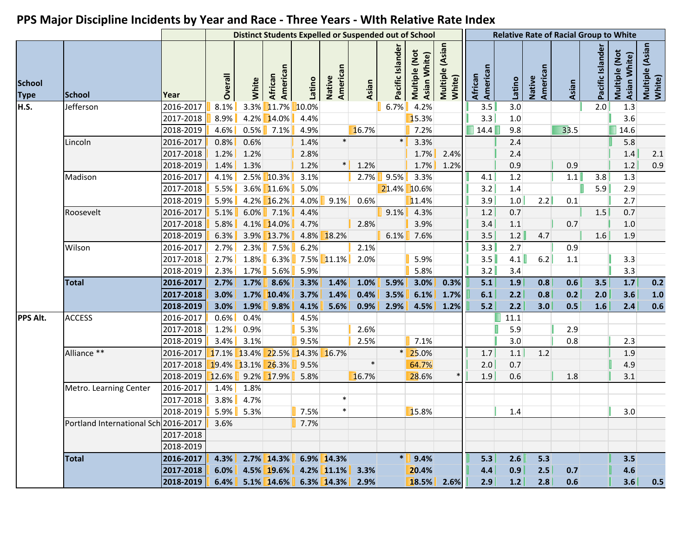|                              |                                      |           | <b>Distinct Students Expelled or Suspended out of School</b> |       |                               |         |                    |        |                  |                               |                           |                     |         |                    | <b>Relative Rate of Racial Group to White</b> |                  |                               |                            |
|------------------------------|--------------------------------------|-----------|--------------------------------------------------------------|-------|-------------------------------|---------|--------------------|--------|------------------|-------------------------------|---------------------------|---------------------|---------|--------------------|-----------------------------------------------|------------------|-------------------------------|----------------------------|
| <b>School</b><br><b>Type</b> | <b>School</b>                        | Year      | Overall                                                      | White | American<br>African           | Latino  | American<br>Native | Asian  | Pacific Islander | Multiple (Not<br>Asian White) | Multiple (Asian<br>White) | American<br>African | Latino  | American<br>Native | Asian                                         | Pacific Islander | Multiple (Not<br>Asian White) | Multiple (Asian)<br>White) |
| H.S.                         | Jefferson                            | 2016-2017 | 8.1%                                                         | 3.3%  | $11.7\%$                      | 10.0%   |                    |        | 6.7%             | 4.2%                          |                           | 3.5                 | 3.0     |                    |                                               | 2.0              | 1.3                           |                            |
|                              |                                      | 2017-2018 | 8.9%                                                         |       | 4.2% 14.0%                    | 4.4%    |                    |        |                  | 15.3%                         |                           | 3.3                 | 1.0     |                    |                                               |                  | 3.6                           |                            |
|                              |                                      | 2018-2019 | 4.6%                                                         | 0.5%  | 7.1%                          | 4.9%    |                    | 16.7%  |                  | 7.2%                          |                           | 14.4                | 9.8     |                    | 33.5                                          |                  | 14.6                          |                            |
|                              | Lincoln                              | 2016-2017 | 0.8%                                                         | 0.6%  |                               | 1.4%    | $\ast$             |        | $\ast$           | 3.3%                          |                           |                     | 2.4     |                    |                                               |                  | 5.8                           |                            |
|                              |                                      | 2017-2018 | 1.2%                                                         | 1.2%  |                               | 2.8%    |                    |        |                  | 1.7%                          | 2.4%                      |                     | 2.4     |                    |                                               |                  | 1.4                           | 2.1                        |
|                              |                                      | 2018-2019 | 1.4%                                                         | 1.3%  |                               | 1.2%    | $\ast$             | 1.2%   |                  | 1.7%                          | 1.2%                      |                     | 0.9     |                    | 0.9                                           |                  | 1.2                           | 0.9                        |
|                              | Madison                              | 2016-2017 | 4.1%                                                         |       | $2.5\%$ 10.3%                 | 3.1%    |                    |        | 2.7% 9.5%        | 3.3%                          |                           | 4.1                 | 1.2     |                    | 1.1                                           | 3.8              | 1.3                           |                            |
|                              |                                      | 2017-2018 | 5.5%                                                         |       | 3.6% 11.6%                    | 5.0%    |                    |        |                  | 21.4% 10.6%                   |                           | 3.2                 | 1.4     |                    |                                               | 5.9              | 2.9                           |                            |
|                              |                                      | 2018-2019 | 5.9%                                                         |       | 4.2% 16.2%                    | 4.0%    | 9.1%               | 0.6%   |                  | 11.4%                         |                           | 3.9                 | $1.0\,$ | 2.2                | 0.1                                           |                  | 2.7                           |                            |
|                              | Roosevelt                            | 2016-2017 | 5.1%                                                         | 6.0%  | $\vert$ 7.1%                  | 4.4%    |                    |        | $9.1\%$          | 4.3%                          |                           | 1.2                 | 0.7     |                    |                                               | 1.5              | 0.7                           |                            |
|                              |                                      | 2017-2018 | 5.8%                                                         |       | 4.1% 14.0%                    | 4.7%    |                    | 2.8%   |                  | 3.9%                          |                           | 3.4                 | 1.1     |                    | 0.7                                           |                  | 1.0                           |                            |
|                              |                                      | 2018-2019 | 6.3%                                                         |       | 3.9% 13.7%                    | $4.8\%$ | 18.2%              |        | 6.1%             | 7.6%                          |                           | 3.5                 | 1.2     | 4.7                |                                               | 1.6              | 1.9                           |                            |
|                              | Wilson                               | 2016-2017 | 2.7%                                                         | 2.3%  | 7.5%                          | 6.2%    |                    | 2.1%   |                  |                               |                           | 3.3                 | 2.7     |                    | 0.9                                           |                  |                               |                            |
|                              |                                      | 2017-2018 | 2.7%                                                         | 1.8%  | 6.3%                          |         | 7.5% 11.1%         | 2.0%   |                  | 5.9%                          |                           | 3.5                 | 4.1     | 6.2                | 1.1                                           |                  | 3.3                           |                            |
|                              |                                      | 2018-2019 | 2.3%                                                         | 1.7%  | 5.6%                          | 5.9%    |                    |        |                  | 5.8%                          |                           | 3.2                 | 3.4     |                    |                                               |                  | 3.3                           |                            |
|                              | <b>Total</b>                         | 2016-2017 | 2.7%                                                         | 1.7%  | 8.6%                          | 3.3%    | 1.4%               | 1.0%   | 5.9%             | 3.0%                          | 0.3%                      | 5.1                 | 1.9     | 0.8                | 0.6                                           | 3.5              | 1.7                           | 0.2                        |
|                              |                                      | 2017-2018 | 3.0%                                                         |       | 1.7% 10.4%                    | 3.7%    | 1.4%               | 0.4%   | 3.5%             | 6.1%                          | 1.7%                      | 6.1                 | 2.2     | 0.8                | 0.2                                           | 2.0              | 3.6                           | $1.0\,$                    |
|                              |                                      | 2018-2019 | 3.0%                                                         | 1.9%  | 9.8%                          | 4.1%    | 5.6%               | 0.9%   | 2.9%             | 4.5%                          | 1.2%                      | $5.2$               | 2.2     | 3.0                | 0.5                                           | 1.6              | 2.4                           | 0.6                        |
| PPS Alt.                     | <b>ACCESS</b>                        | 2016-2017 | 0.6%                                                         | 0.4%  |                               | 4.5%    |                    |        |                  |                               |                           |                     | 11.1    |                    |                                               |                  |                               |                            |
|                              |                                      | 2017-2018 | 1.2%                                                         | 0.9%  |                               | 5.3%    |                    | 2.6%   |                  |                               |                           |                     | 5.9     |                    | 2.9                                           |                  |                               |                            |
|                              |                                      | 2018-2019 | 3.4%                                                         | 3.1%  |                               | 9.5%    |                    | 2.5%   |                  | 7.1%                          |                           |                     | 3.0     |                    | 0.8                                           |                  | 2.3                           |                            |
|                              | Alliance **                          | 2016-2017 |                                                              |       | 17.1% 13.4% 22.5% 14.3% 16.7% |         |                    |        |                  | $* 25.0\%$                    |                           | 1.7                 | 1.1     | 1.2                |                                               |                  | 1.9                           |                            |
|                              |                                      | 2017-2018 |                                                              |       | 19.4% 13.1% 26.3%             | 9.5%    |                    | $\ast$ |                  | 64.7%                         |                           | 2.0                 | 0.7     |                    |                                               |                  | 4.9                           |                            |
|                              |                                      | 2018-2019 | 12.6%                                                        |       | $9.2\%$ 17.9%                 | 5.8%    |                    | 16.7%  |                  | 28.6%                         |                           | 1.9                 | 0.6     |                    | 1.8                                           |                  | 3.1                           |                            |
|                              | Metro. Learning Center               | 2016-2017 | 1.4%                                                         | 1.8%  |                               |         |                    |        |                  |                               |                           |                     |         |                    |                                               |                  |                               |                            |
|                              |                                      | 2017-2018 | 3.8%                                                         | 4.7%  |                               |         | $\ast$             |        |                  |                               |                           |                     |         |                    |                                               |                  |                               |                            |
|                              |                                      | 2018-2019 | $5.9\%$                                                      | 5.3%  |                               | 7.5%    | $\ast$             |        |                  | 15.8%                         |                           |                     | 1.4     |                    |                                               |                  | 3.0                           |                            |
|                              | Portland International Sch 2016-2017 |           | 3.6%                                                         |       |                               | 7.7%    |                    |        |                  |                               |                           |                     |         |                    |                                               |                  |                               |                            |
|                              |                                      | 2017-2018 |                                                              |       |                               |         |                    |        |                  |                               |                           |                     |         |                    |                                               |                  |                               |                            |
|                              |                                      | 2018-2019 |                                                              |       |                               |         |                    |        |                  |                               |                           |                     |         |                    |                                               |                  |                               |                            |
|                              | <b>Total</b>                         | 2016-2017 | 4.3%                                                         |       | 2.7% 14.3%                    |         | 6.9% 14.3%         |        | $\ast$           | 9.4%                          |                           | 5.3                 | 2.6     | 5.3                |                                               |                  | 3.5                           |                            |
|                              |                                      | 2017-2018 | 6.0%                                                         |       | 4.5% 19.6%                    |         | 4.2% 11.1%         | 3.3%   |                  | 20.4%                         |                           | 4.4                 | 0.9     | 2.5                | 0.7                                           |                  | 4.6                           |                            |
|                              |                                      | 2018-2019 | 6.4%                                                         |       | 5.1% 14.6%                    |         | $6.3\%$ 14.3%      | 2.9%   |                  | 18.5%                         | 2.6%                      | 2.9                 | 1.2     | 2.8                | 0.6                                           |                  | 3.6                           | 0.5                        |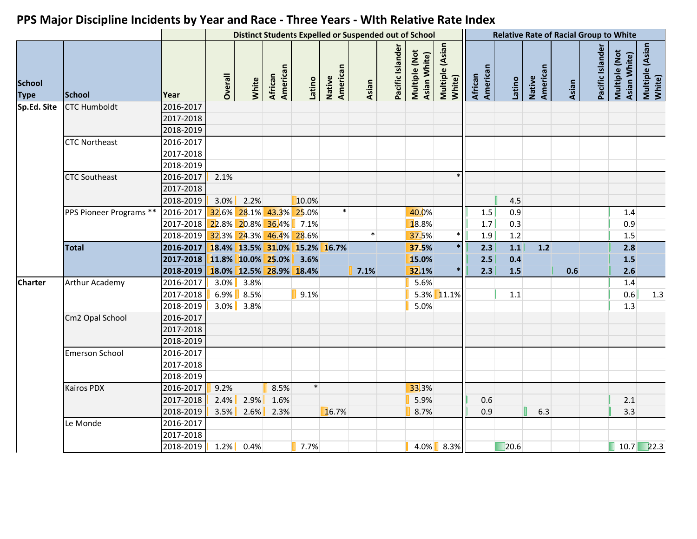|                              |                         |           |         |              |                         |        | <b>Distinct Students Expelled or Suspended out of School</b> |        |                  |                               |                           | <b>Relative Rate of Racial Group to White</b> |         |                           |       |                  |                               |                           |
|------------------------------|-------------------------|-----------|---------|--------------|-------------------------|--------|--------------------------------------------------------------|--------|------------------|-------------------------------|---------------------------|-----------------------------------------------|---------|---------------------------|-------|------------------|-------------------------------|---------------------------|
| <b>School</b><br><b>Type</b> | <b>School</b>           | Year      | Overall | White        | American<br>African     | Latino | American<br>Native                                           | Asian  | Pacific Islander | Multiple (Not<br>Asian White) | Multiple (Asian<br>White) | American<br>African                           | Latino  | American<br><b>Native</b> | Asian | Pacific Islander | Multiple (Not<br>Asian White) | Multiple (Asian<br>White) |
| Sp.Ed. Site                  | <b>CTC Humboldt</b>     | 2016-2017 |         |              |                         |        |                                                              |        |                  |                               |                           |                                               |         |                           |       |                  |                               |                           |
|                              |                         | 2017-2018 |         |              |                         |        |                                                              |        |                  |                               |                           |                                               |         |                           |       |                  |                               |                           |
|                              |                         | 2018-2019 |         |              |                         |        |                                                              |        |                  |                               |                           |                                               |         |                           |       |                  |                               |                           |
|                              | <b>CTC Northeast</b>    | 2016-2017 |         |              |                         |        |                                                              |        |                  |                               |                           |                                               |         |                           |       |                  |                               |                           |
|                              |                         | 2017-2018 |         |              |                         |        |                                                              |        |                  |                               |                           |                                               |         |                           |       |                  |                               |                           |
|                              |                         | 2018-2019 |         |              |                         |        |                                                              |        |                  |                               |                           |                                               |         |                           |       |                  |                               |                           |
|                              | <b>CTC Southeast</b>    | 2016-2017 | 2.1%    |              |                         |        |                                                              |        |                  |                               |                           |                                               |         |                           |       |                  |                               |                           |
|                              |                         | 2017-2018 |         |              |                         |        |                                                              |        |                  |                               |                           |                                               |         |                           |       |                  |                               |                           |
|                              |                         | 2018-2019 |         | $3.0\%$ 2.2% |                         | 10.0%  |                                                              |        |                  |                               |                           |                                               | 4.5     |                           |       |                  |                               |                           |
|                              | PPS Pioneer Programs ** | 2016-2017 |         |              | 32.6% 28.1% 43.3% 25.0% |        | $\ast$                                                       |        |                  | 40.0%                         |                           | 1.5                                           | 0.9     |                           |       |                  | 1.4                           |                           |
|                              |                         | 2017-2018 |         |              | 22.8% 20.8% 36.4% 7.1%  |        |                                                              |        |                  | 18.8%                         |                           | 1.7                                           | 0.3     |                           |       |                  | 0.9                           |                           |
|                              |                         | 2018-2019 |         |              | 32.3% 24.3% 46.4% 28.6% |        |                                                              | $\ast$ |                  | 37.5%                         | $\ast$                    | 1.9                                           | 1.2     |                           |       |                  | 1.5                           |                           |
|                              | <b>Total</b>            | 2016-2017 |         |              |                         |        | 18.4% 13.5% 31.0% 15.2% 16.7%                                |        |                  | 37.5%                         | $\ast$                    | 2.3                                           | $1.1$   | $1.2$                     |       |                  | 2.8                           |                           |
|                              |                         | 2017-2018 |         |              | 11.8% 10.0% 25.0%       | 3.6%   |                                                              |        |                  | 15.0%                         |                           | 2.5                                           | 0.4     |                           |       |                  | 1.5                           |                           |
|                              |                         | 2018-2019 |         |              | 18.0% 12.5% 28.9% 18.4% |        |                                                              | 7.1%   |                  | 32.1%                         |                           | 2.3                                           | 1.5     |                           | 0.6   |                  | 2.6                           |                           |
| <b>Charter</b>               | Arthur Academy          | 2016-2017 |         | $3.0\%$ 3.8% |                         |        |                                                              |        |                  | 5.6%                          |                           |                                               |         |                           |       |                  | 1.4                           |                           |
|                              |                         | 2017-2018 |         | $6.9\%$ 8.5% |                         | 9.1%   |                                                              |        |                  |                               | 5.3% 11.1%                |                                               | $1.1\,$ |                           |       |                  | 0.6                           | 1.3                       |
|                              |                         | 2018-2019 |         | $3.0\%$ 3.8% |                         |        |                                                              |        |                  | 5.0%                          |                           |                                               |         |                           |       |                  | 1.3                           |                           |
|                              | Cm2 Opal School         | 2016-2017 |         |              |                         |        |                                                              |        |                  |                               |                           |                                               |         |                           |       |                  |                               |                           |
|                              |                         | 2017-2018 |         |              |                         |        |                                                              |        |                  |                               |                           |                                               |         |                           |       |                  |                               |                           |
|                              |                         | 2018-2019 |         |              |                         |        |                                                              |        |                  |                               |                           |                                               |         |                           |       |                  |                               |                           |
|                              | <b>Emerson School</b>   | 2016-2017 |         |              |                         |        |                                                              |        |                  |                               |                           |                                               |         |                           |       |                  |                               |                           |
|                              |                         | 2017-2018 |         |              |                         |        |                                                              |        |                  |                               |                           |                                               |         |                           |       |                  |                               |                           |
|                              |                         | 2018-2019 |         |              |                         |        |                                                              |        |                  |                               |                           |                                               |         |                           |       |                  |                               |                           |
|                              | <b>Kairos PDX</b>       | 2016-2017 | 9.2%    |              | 8.5%                    | $\ast$ |                                                              |        |                  | 33.3%                         |                           |                                               |         |                           |       |                  |                               |                           |
|                              |                         | 2017-2018 | 2.4%    | 2.9%         | 1.6%                    |        |                                                              |        |                  | 5.9%                          |                           | 0.6                                           |         |                           |       |                  | 2.1                           |                           |
|                              |                         | 2018-2019 |         | $3.5\%$ 2.6% | 2.3%                    |        | 16.7%                                                        |        |                  | 8.7%                          |                           | 0.9                                           |         | 6.3                       |       |                  | 3.3                           |                           |
|                              | Le Monde                | 2016-2017 |         |              |                         |        |                                                              |        |                  |                               |                           |                                               |         |                           |       |                  |                               |                           |
|                              |                         | 2017-2018 |         |              |                         |        |                                                              |        |                  |                               |                           |                                               |         |                           |       |                  |                               |                           |
|                              |                         | 2018-2019 | $1.2\%$ | 0.4%         |                         | 7.7%   |                                                              |        |                  |                               | 4.0% 8.3%                 |                                               | 20.6    |                           |       |                  |                               | $10.7$ 22.3               |